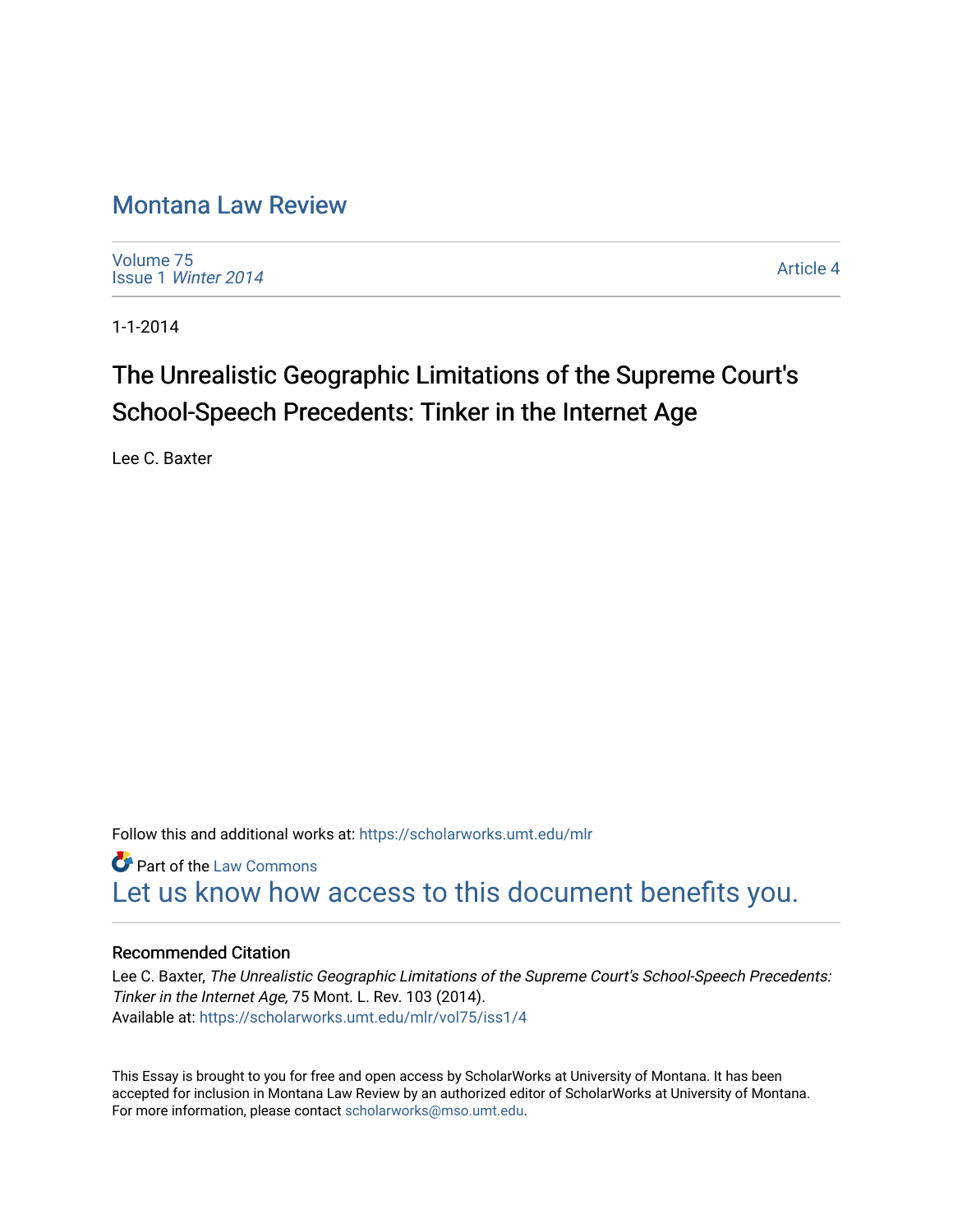## [Montana Law Review](https://scholarworks.umt.edu/mlr)

[Volume 75](https://scholarworks.umt.edu/mlr/vol75) Issue 1 [Winter 2014](https://scholarworks.umt.edu/mlr/vol75/iss1) 

[Article 4](https://scholarworks.umt.edu/mlr/vol75/iss1/4) 

1-1-2014

# The Unrealistic Geographic Limitations of the Supreme Court's School-Speech Precedents: Tinker in the Internet Age

Lee C. Baxter

Follow this and additional works at: [https://scholarworks.umt.edu/mlr](https://scholarworks.umt.edu/mlr?utm_source=scholarworks.umt.edu%2Fmlr%2Fvol75%2Fiss1%2F4&utm_medium=PDF&utm_campaign=PDFCoverPages) 

**Part of the [Law Commons](http://network.bepress.com/hgg/discipline/578?utm_source=scholarworks.umt.edu%2Fmlr%2Fvol75%2Fiss1%2F4&utm_medium=PDF&utm_campaign=PDFCoverPages)** [Let us know how access to this document benefits you.](https://goo.gl/forms/s2rGfXOLzz71qgsB2) 

## Recommended Citation

Lee C. Baxter, The Unrealistic Geographic Limitations of the Supreme Court's School-Speech Precedents: Tinker in the Internet Age, 75 Mont. L. Rev. 103 (2014). Available at: [https://scholarworks.umt.edu/mlr/vol75/iss1/4](https://scholarworks.umt.edu/mlr/vol75/iss1/4?utm_source=scholarworks.umt.edu%2Fmlr%2Fvol75%2Fiss1%2F4&utm_medium=PDF&utm_campaign=PDFCoverPages) 

This Essay is brought to you for free and open access by ScholarWorks at University of Montana. It has been accepted for inclusion in Montana Law Review by an authorized editor of ScholarWorks at University of Montana. For more information, please contact [scholarworks@mso.umt.edu.](mailto:scholarworks@mso.umt.edu)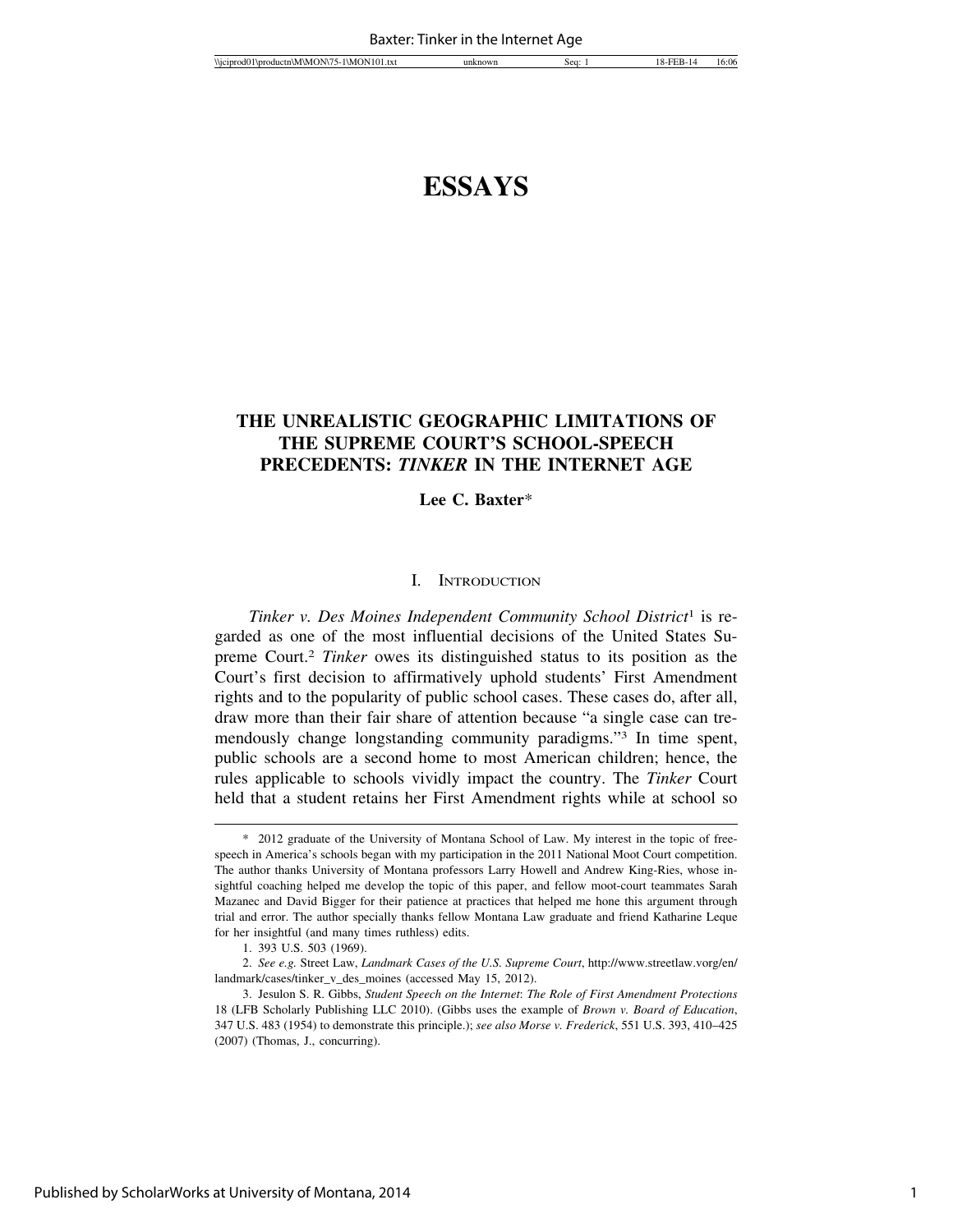## **ESSAYS**

## **THE UNREALISTIC GEOGRAPHIC LIMITATIONS OF THE SUPREME COURT'S SCHOOL-SPEECH PRECEDENTS:** *TINKER* **IN THE INTERNET AGE**

#### **Lee C. Baxter**\*

#### I. INTRODUCTION

*Tinker v. Des Moines Independent Community School District*1 is regarded as one of the most influential decisions of the United States Supreme Court.2 *Tinker* owes its distinguished status to its position as the Court's first decision to affirmatively uphold students' First Amendment rights and to the popularity of public school cases. These cases do, after all, draw more than their fair share of attention because "a single case can tremendously change longstanding community paradigms."3 In time spent, public schools are a second home to most American children; hence, the rules applicable to schools vividly impact the country. The *Tinker* Court held that a student retains her First Amendment rights while at school so

<sup>\* 2012</sup> graduate of the University of Montana School of Law. My interest in the topic of freespeech in America's schools began with my participation in the 2011 National Moot Court competition. The author thanks University of Montana professors Larry Howell and Andrew King-Ries, whose insightful coaching helped me develop the topic of this paper, and fellow moot-court teammates Sarah Mazanec and David Bigger for their patience at practices that helped me hone this argument through trial and error. The author specially thanks fellow Montana Law graduate and friend Katharine Leque for her insightful (and many times ruthless) edits.

<sup>1. 393</sup> U.S. 503 (1969).

<sup>2.</sup> *See e.g.* Street Law, *Landmark Cases of the U.S. Supreme Court*, http://www.streetlaw.vorg/en/ landmark/cases/tinker\_v\_des\_moines (accessed May 15, 2012).

<sup>3.</sup> Jesulon S. R. Gibbs, *Student Speech on the Internet*: *The Role of First Amendment Protections* 18 (LFB Scholarly Publishing LLC 2010). (Gibbs uses the example of *Brown v. Board of Education*, 347 U.S. 483 (1954) to demonstrate this principle.); *see also Morse v. Frederick*, 551 U.S. 393, 410–425 (2007) (Thomas, J., concurring).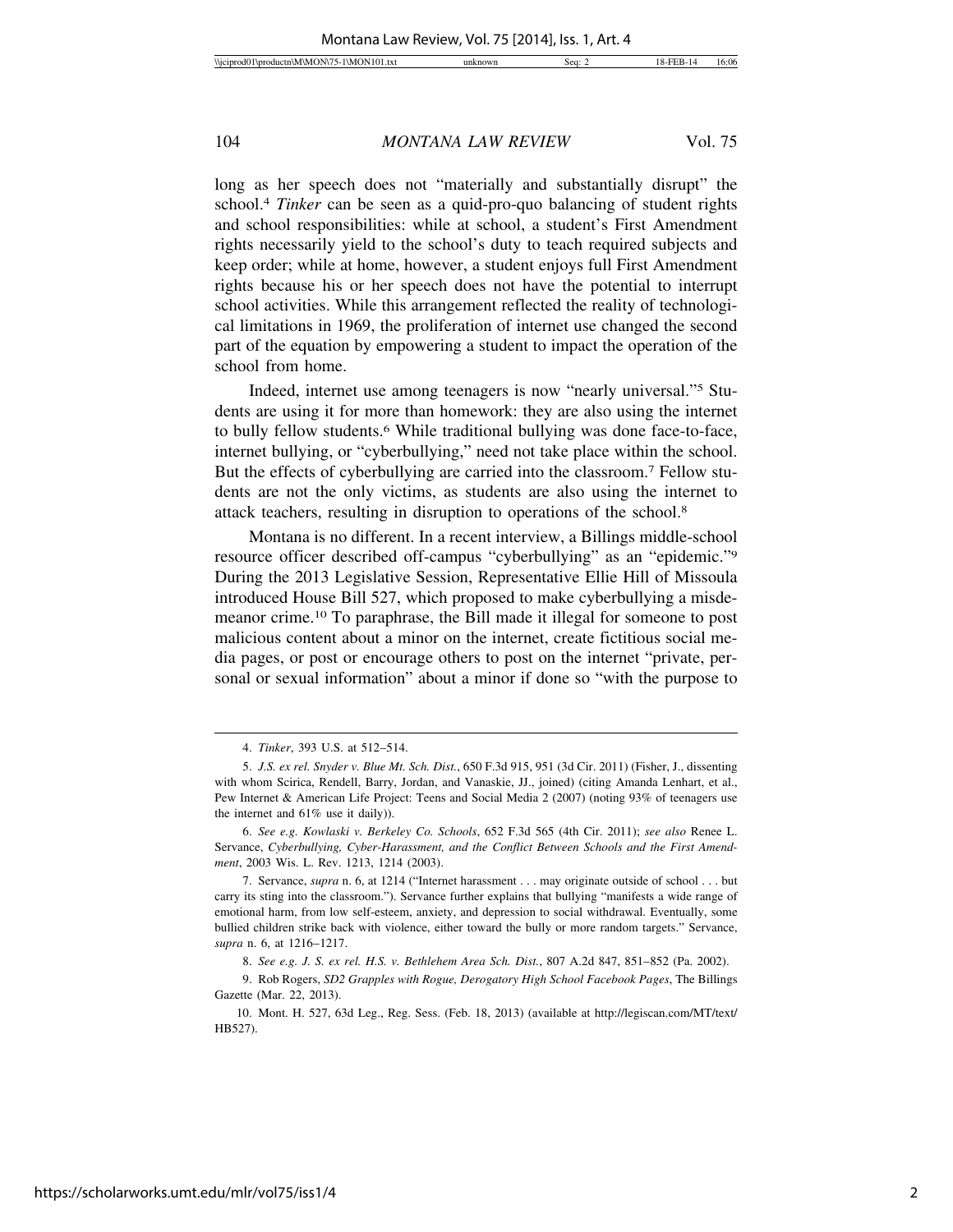long as her speech does not "materially and substantially disrupt" the school.4 *Tinker* can be seen as a quid-pro-quo balancing of student rights and school responsibilities: while at school, a student's First Amendment rights necessarily yield to the school's duty to teach required subjects and keep order; while at home, however, a student enjoys full First Amendment rights because his or her speech does not have the potential to interrupt school activities. While this arrangement reflected the reality of technological limitations in 1969, the proliferation of internet use changed the second part of the equation by empowering a student to impact the operation of the school from home.

Indeed, internet use among teenagers is now "nearly universal."5 Students are using it for more than homework: they are also using the internet to bully fellow students.6 While traditional bullying was done face-to-face, internet bullying, or "cyberbullying," need not take place within the school. But the effects of cyberbullying are carried into the classroom.7 Fellow students are not the only victims, as students are also using the internet to attack teachers, resulting in disruption to operations of the school.8

Montana is no different. In a recent interview, a Billings middle-school resource officer described off-campus "cyberbullying" as an "epidemic."9 During the 2013 Legislative Session, Representative Ellie Hill of Missoula introduced House Bill 527, which proposed to make cyberbullying a misdemeanor crime.10 To paraphrase, the Bill made it illegal for someone to post malicious content about a minor on the internet, create fictitious social media pages, or post or encourage others to post on the internet "private, personal or sexual information" about a minor if done so "with the purpose to

<sup>4.</sup> *Tinker*, 393 U.S. at 512–514.

<sup>5.</sup> *J.S. ex rel. Snyder v. Blue Mt. Sch. Dist.*, 650 F.3d 915, 951 (3d Cir. 2011) (Fisher, J., dissenting with whom Scirica, Rendell, Barry, Jordan, and Vanaskie, JJ., joined) (citing Amanda Lenhart, et al., Pew Internet & American Life Project: Teens and Social Media 2 (2007) (noting 93% of teenagers use the internet and 61% use it daily)).

<sup>6.</sup> *See e.g. Kowlaski v. Berkeley Co. Schools*, 652 F.3d 565 (4th Cir. 2011); *see also* Renee L. Servance, *Cyberbullying, Cyber-Harassment, and the Conflict Between Schools and the First Amendment*, 2003 Wis. L. Rev. 1213, 1214 (2003).

<sup>7.</sup> Servance, *supra* n. 6, at 1214 ("Internet harassment . . . may originate outside of school . . . but carry its sting into the classroom."). Servance further explains that bullying "manifests a wide range of emotional harm, from low self-esteem, anxiety, and depression to social withdrawal. Eventually, some bullied children strike back with violence, either toward the bully or more random targets." Servance, *supra* n. 6, at 1216–1217.

<sup>8.</sup> *See e.g. J. S. ex rel. H.S. v. Bethlehem Area Sch. Dist.*, 807 A.2d 847, 851–852 (Pa. 2002).

<sup>9.</sup> Rob Rogers, *SD2 Grapples with Rogue, Derogatory High School Facebook Pages*, The Billings Gazette (Mar. 22, 2013).

<sup>10.</sup> Mont. H. 527, 63d Leg., Reg. Sess. (Feb. 18, 2013) (available at http://legiscan.com/MT/text/ HB527).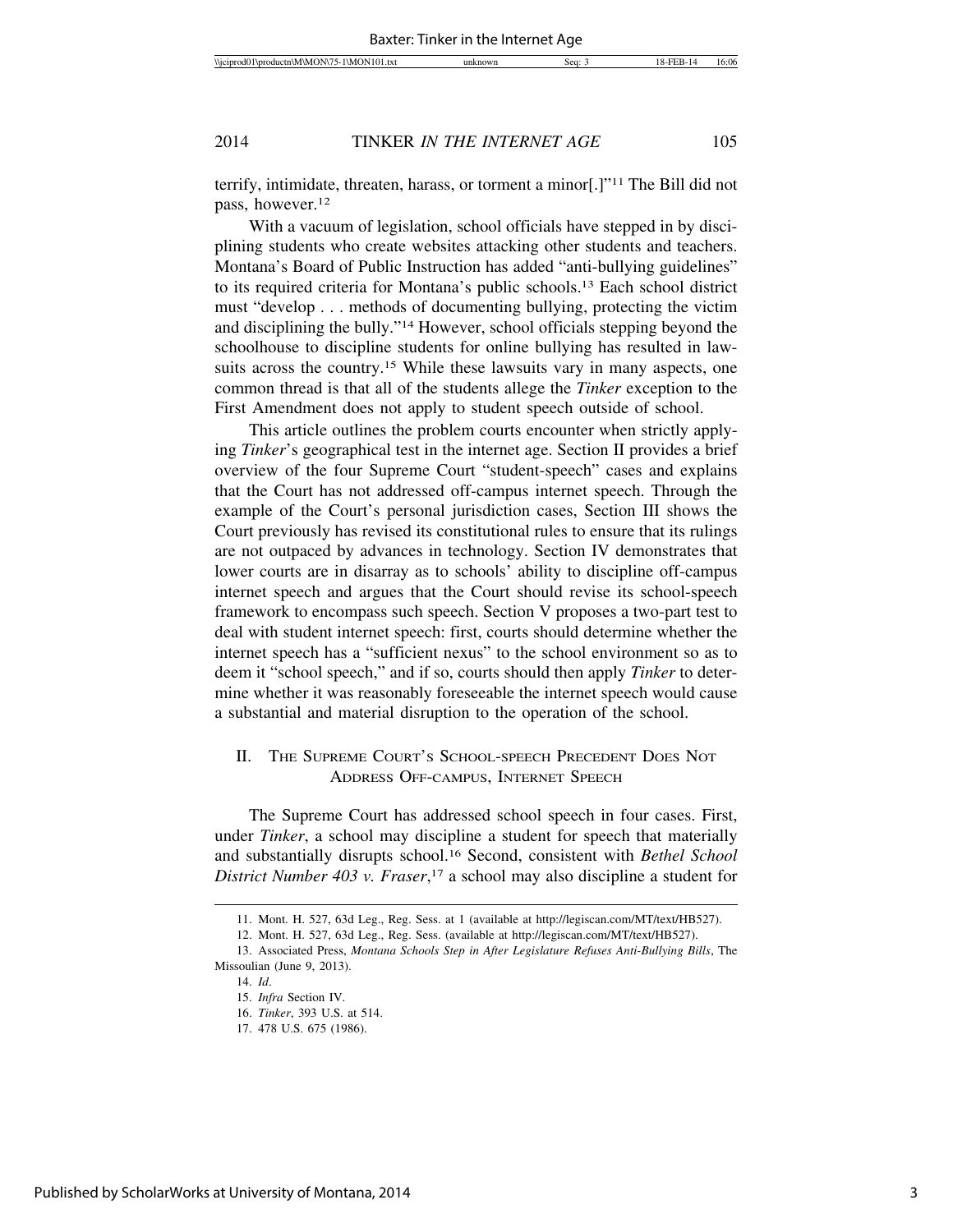terrify, intimidate, threaten, harass, or torment a minor[.]"11 The Bill did not pass, however.12

With a vacuum of legislation, school officials have stepped in by disciplining students who create websites attacking other students and teachers. Montana's Board of Public Instruction has added "anti-bullying guidelines" to its required criteria for Montana's public schools.13 Each school district must "develop . . . methods of documenting bullying, protecting the victim and disciplining the bully."14 However, school officials stepping beyond the schoolhouse to discipline students for online bullying has resulted in lawsuits across the country.<sup>15</sup> While these lawsuits vary in many aspects, one common thread is that all of the students allege the *Tinker* exception to the First Amendment does not apply to student speech outside of school.

This article outlines the problem courts encounter when strictly applying *Tinker*'s geographical test in the internet age. Section II provides a brief overview of the four Supreme Court "student-speech" cases and explains that the Court has not addressed off-campus internet speech. Through the example of the Court's personal jurisdiction cases, Section III shows the Court previously has revised its constitutional rules to ensure that its rulings are not outpaced by advances in technology. Section IV demonstrates that lower courts are in disarray as to schools' ability to discipline off-campus internet speech and argues that the Court should revise its school-speech framework to encompass such speech. Section V proposes a two-part test to deal with student internet speech: first, courts should determine whether the internet speech has a "sufficient nexus" to the school environment so as to deem it "school speech," and if so, courts should then apply *Tinker* to determine whether it was reasonably foreseeable the internet speech would cause a substantial and material disruption to the operation of the school.

### II. THE SUPREME COURT'S SCHOOL-SPEECH PRECEDENT DOES NOT ADDRESS OFF-CAMPUS, INTERNET SPEECH

The Supreme Court has addressed school speech in four cases. First, under *Tinker*, a school may discipline a student for speech that materially and substantially disrupts school.16 Second, consistent with *Bethel School District Number 403 v. Fraser*, 17 a school may also discipline a student for

<sup>11.</sup> Mont. H. 527, 63d Leg., Reg. Sess. at 1 (available at http://legiscan.com/MT/text/HB527).

<sup>12.</sup> Mont. H. 527, 63d Leg., Reg. Sess. (available at http://legiscan.com/MT/text/HB527).

<sup>13.</sup> Associated Press, *Montana Schools Step in After Legislature Refuses Anti-Bullying Bills*, The Missoulian (June 9, 2013).

<sup>14.</sup> *Id*.

<sup>15.</sup> *Infra* Section IV.

<sup>16.</sup> *Tinker*, 393 U.S. at 514.

<sup>17. 478</sup> U.S. 675 (1986).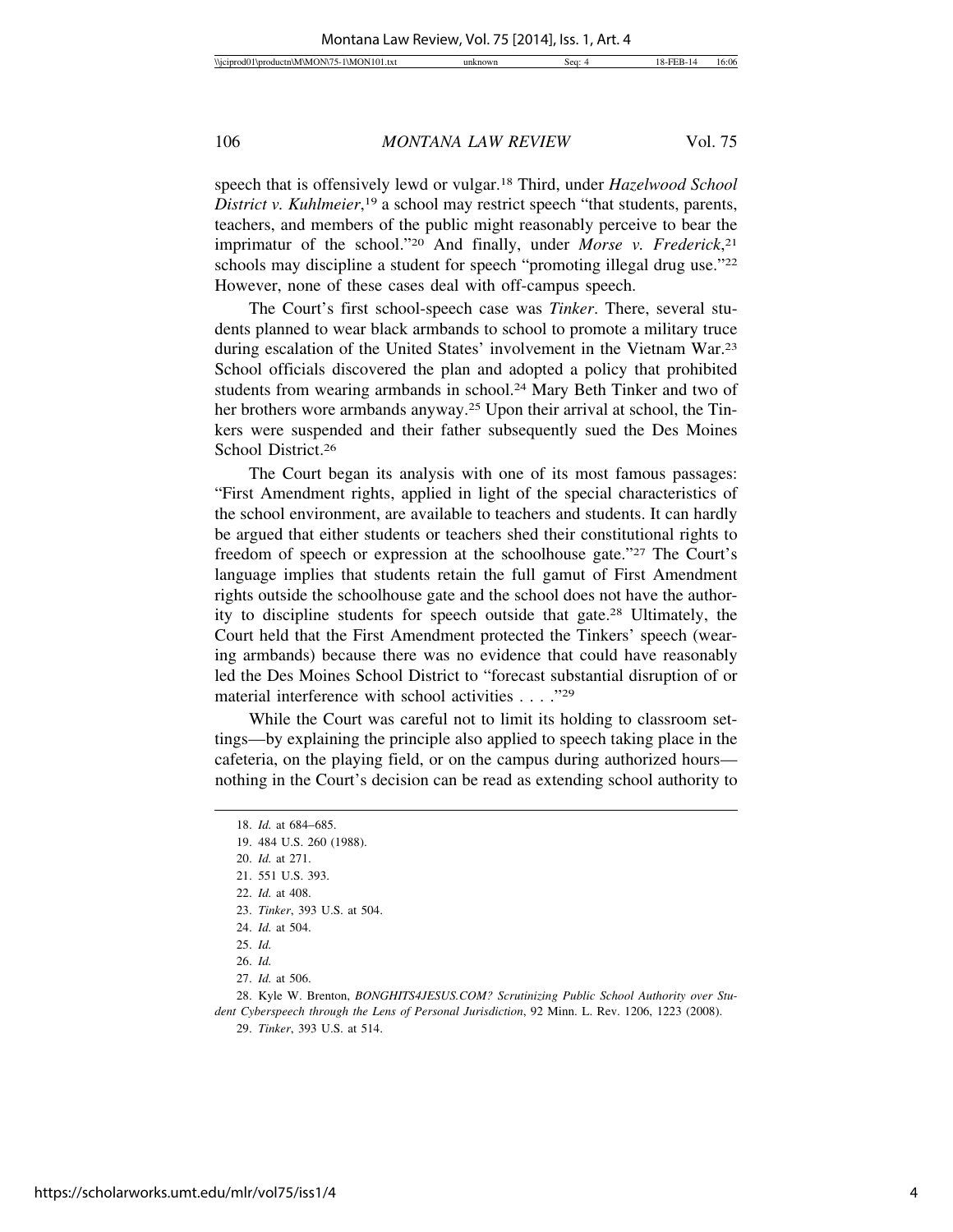speech that is offensively lewd or vulgar.18 Third, under *Hazelwood School District v. Kuhlmeier*, 19 a school may restrict speech "that students, parents, teachers, and members of the public might reasonably perceive to bear the imprimatur of the school."20 And finally, under *Morse v. Frederick*, 21 schools may discipline a student for speech "promoting illegal drug use."<sup>22</sup> However, none of these cases deal with off-campus speech.

The Court's first school-speech case was *Tinker*. There, several students planned to wear black armbands to school to promote a military truce during escalation of the United States' involvement in the Vietnam War.23 School officials discovered the plan and adopted a policy that prohibited students from wearing armbands in school.<sup>24</sup> Mary Beth Tinker and two of her brothers wore armbands anyway.<sup>25</sup> Upon their arrival at school, the Tinkers were suspended and their father subsequently sued the Des Moines School District.26

The Court began its analysis with one of its most famous passages: "First Amendment rights, applied in light of the special characteristics of the school environment, are available to teachers and students. It can hardly be argued that either students or teachers shed their constitutional rights to freedom of speech or expression at the schoolhouse gate."27 The Court's language implies that students retain the full gamut of First Amendment rights outside the schoolhouse gate and the school does not have the authority to discipline students for speech outside that gate.28 Ultimately, the Court held that the First Amendment protected the Tinkers' speech (wearing armbands) because there was no evidence that could have reasonably led the Des Moines School District to "forecast substantial disruption of or material interference with school activities . . . . "29"

While the Court was careful not to limit its holding to classroom settings—by explaining the principle also applied to speech taking place in the cafeteria, on the playing field, or on the campus during authorized hours nothing in the Court's decision can be read as extending school authority to

<sup>18.</sup> *Id.* at 684–685.

<sup>19. 484</sup> U.S. 260 (1988).

<sup>20.</sup> *Id.* at 271.

<sup>21. 551</sup> U.S. 393.

<sup>22.</sup> *Id.* at 408.

<sup>23.</sup> *Tinker*, 393 U.S. at 504.

<sup>24.</sup> *Id.* at 504.

<sup>25.</sup> *Id.*

<sup>26.</sup> *Id.*

<sup>27.</sup> *Id.* at 506.

<sup>28.</sup> Kyle W. Brenton, *BONGHITS4JESUS.COM? Scrutinizing Public School Authority over Student Cyberspeech through the Lens of Personal Jurisdiction*, 92 Minn. L. Rev. 1206, 1223 (2008).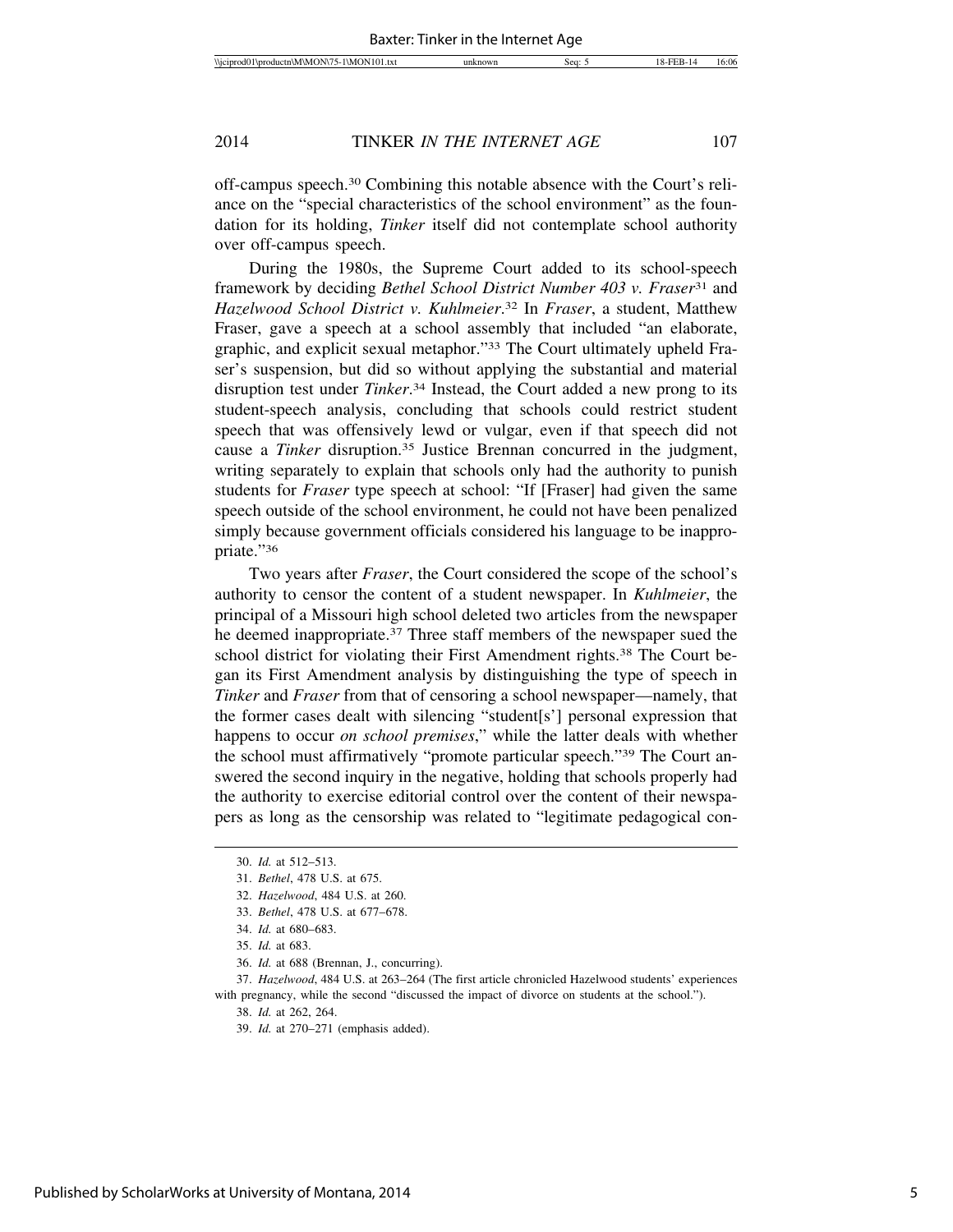off-campus speech.30 Combining this notable absence with the Court's reliance on the "special characteristics of the school environment" as the foundation for its holding, *Tinker* itself did not contemplate school authority over off-campus speech.

During the 1980s, the Supreme Court added to its school-speech framework by deciding *Bethel School District Number 403 v. Fraser*31 and *Hazelwood School District v. Kuhlmeier*. 32 In *Fraser*, a student, Matthew Fraser, gave a speech at a school assembly that included "an elaborate, graphic, and explicit sexual metaphor."33 The Court ultimately upheld Fraser's suspension, but did so without applying the substantial and material disruption test under *Tinker*. 34 Instead, the Court added a new prong to its student-speech analysis, concluding that schools could restrict student speech that was offensively lewd or vulgar, even if that speech did not cause a *Tinker* disruption.35 Justice Brennan concurred in the judgment, writing separately to explain that schools only had the authority to punish students for *Fraser* type speech at school: "If [Fraser] had given the same speech outside of the school environment, he could not have been penalized simply because government officials considered his language to be inappropriate."36

Two years after *Fraser*, the Court considered the scope of the school's authority to censor the content of a student newspaper. In *Kuhlmeier*, the principal of a Missouri high school deleted two articles from the newspaper he deemed inappropriate.37 Three staff members of the newspaper sued the school district for violating their First Amendment rights.<sup>38</sup> The Court began its First Amendment analysis by distinguishing the type of speech in *Tinker* and *Fraser* from that of censoring a school newspaper—namely, that the former cases dealt with silencing "student[s'] personal expression that happens to occur *on school premises*," while the latter deals with whether the school must affirmatively "promote particular speech."39 The Court answered the second inquiry in the negative, holding that schools properly had the authority to exercise editorial control over the content of their newspapers as long as the censorship was related to "legitimate pedagogical con-

38. *Id.* at 262, 264.

<sup>30.</sup> *Id.* at 512–513.

<sup>31.</sup> *Bethel*, 478 U.S. at 675.

<sup>32.</sup> *Hazelwood*, 484 U.S. at 260.

<sup>33.</sup> *Bethel*, 478 U.S. at 677–678.

<sup>34.</sup> *Id.* at 680–683.

<sup>35.</sup> *Id.* at 683.

<sup>36.</sup> *Id.* at 688 (Brennan, J., concurring).

<sup>37.</sup> *Hazelwood*, 484 U.S. at 263–264 (The first article chronicled Hazelwood students' experiences with pregnancy, while the second "discussed the impact of divorce on students at the school.").

<sup>39.</sup> *Id.* at 270–271 (emphasis added).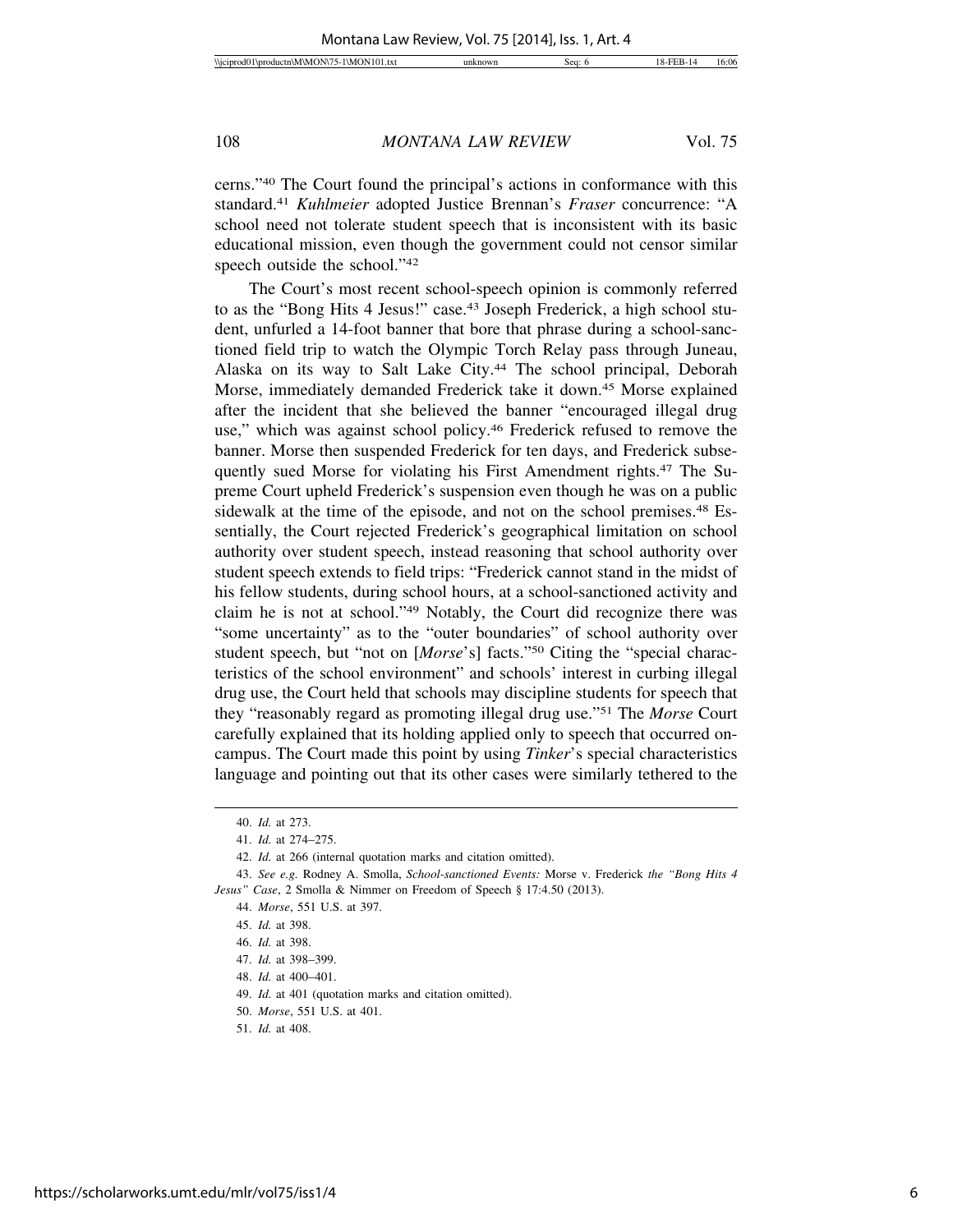cerns."40 The Court found the principal's actions in conformance with this standard.41 *Kuhlmeier* adopted Justice Brennan's *Fraser* concurrence: "A school need not tolerate student speech that is inconsistent with its basic educational mission, even though the government could not censor similar speech outside the school."42

The Court's most recent school-speech opinion is commonly referred to as the "Bong Hits 4 Jesus!" case.<sup>43</sup> Joseph Frederick, a high school student, unfurled a 14-foot banner that bore that phrase during a school-sanctioned field trip to watch the Olympic Torch Relay pass through Juneau, Alaska on its way to Salt Lake City.<sup>44</sup> The school principal, Deborah Morse, immediately demanded Frederick take it down.45 Morse explained after the incident that she believed the banner "encouraged illegal drug use," which was against school policy.46 Frederick refused to remove the banner. Morse then suspended Frederick for ten days, and Frederick subsequently sued Morse for violating his First Amendment rights.47 The Supreme Court upheld Frederick's suspension even though he was on a public sidewalk at the time of the episode, and not on the school premises.<sup>48</sup> Essentially, the Court rejected Frederick's geographical limitation on school authority over student speech, instead reasoning that school authority over student speech extends to field trips: "Frederick cannot stand in the midst of his fellow students, during school hours, at a school-sanctioned activity and claim he is not at school."49 Notably, the Court did recognize there was "some uncertainty" as to the "outer boundaries" of school authority over student speech, but "not on [*Morse*'s] facts."50 Citing the "special characteristics of the school environment" and schools' interest in curbing illegal drug use, the Court held that schools may discipline students for speech that they "reasonably regard as promoting illegal drug use."51 The *Morse* Court carefully explained that its holding applied only to speech that occurred oncampus. The Court made this point by using *Tinker*'s special characteristics language and pointing out that its other cases were similarly tethered to the

<sup>40.</sup> *Id.* at 273.

<sup>41.</sup> *Id.* at 274–275.

<sup>42.</sup> *Id.* at 266 (internal quotation marks and citation omitted).

<sup>43.</sup> *See e.g.* Rodney A. Smolla, *School-sanctioned Events:* Morse v. Frederick *the "Bong Hits 4 Jesus" Case*, 2 Smolla & Nimmer on Freedom of Speech § 17:4.50 (2013).

<sup>44.</sup> *Morse*, 551 U.S. at 397.

<sup>45.</sup> *Id.* at 398.

<sup>46.</sup> *Id.* at 398.

<sup>47.</sup> *Id.* at 398–399.

<sup>48.</sup> *Id.* at 400–401.

<sup>49.</sup> *Id.* at 401 (quotation marks and citation omitted).

<sup>50.</sup> *Morse*, 551 U.S. at 401.

<sup>51.</sup> *Id.* at 408.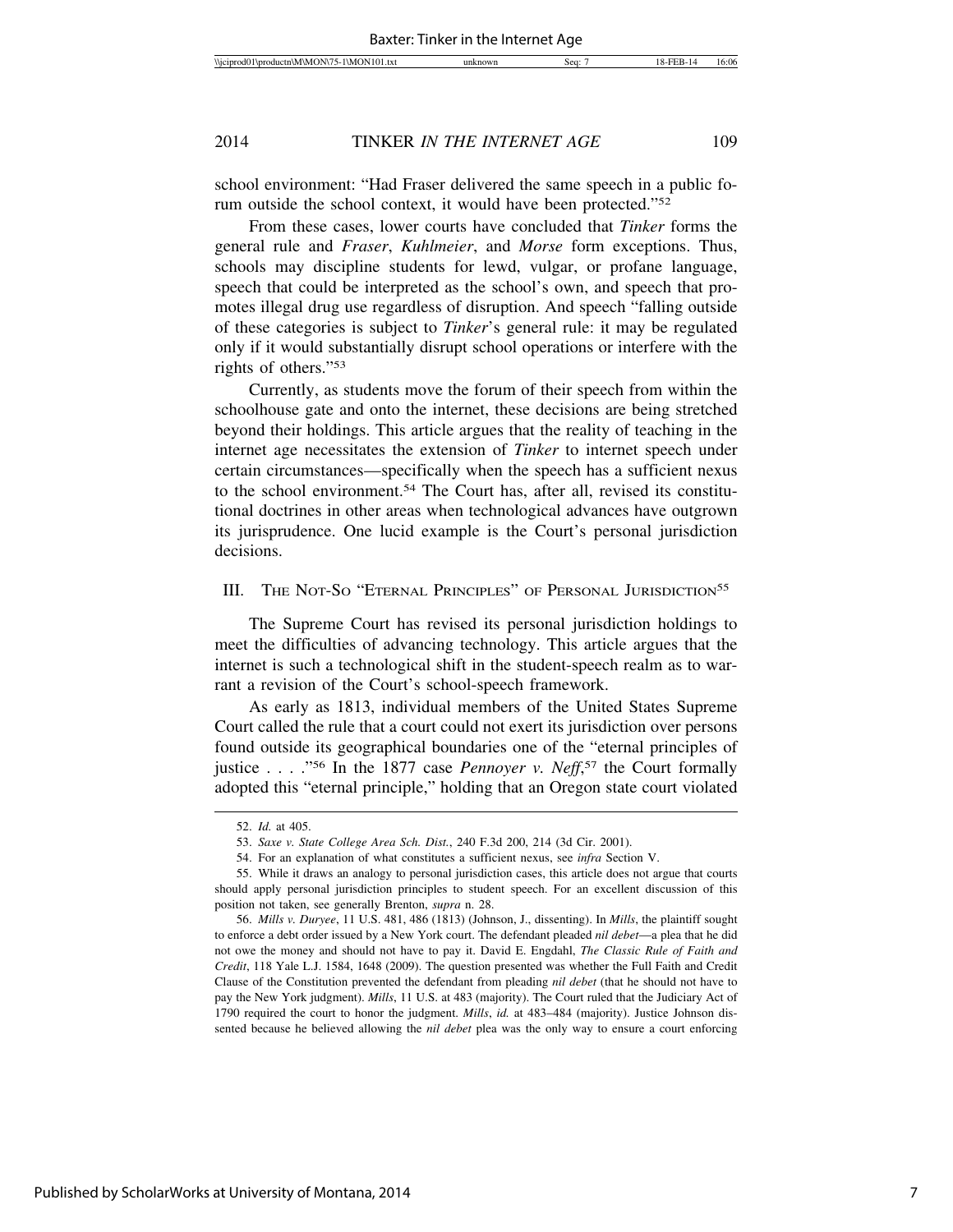school environment: "Had Fraser delivered the same speech in a public forum outside the school context, it would have been protected."52

From these cases, lower courts have concluded that *Tinker* forms the general rule and *Fraser*, *Kuhlmeier*, and *Morse* form exceptions. Thus, schools may discipline students for lewd, vulgar, or profane language, speech that could be interpreted as the school's own, and speech that promotes illegal drug use regardless of disruption. And speech "falling outside of these categories is subject to *Tinker*'s general rule: it may be regulated only if it would substantially disrupt school operations or interfere with the rights of others."53

Currently, as students move the forum of their speech from within the schoolhouse gate and onto the internet, these decisions are being stretched beyond their holdings. This article argues that the reality of teaching in the internet age necessitates the extension of *Tinker* to internet speech under certain circumstances—specifically when the speech has a sufficient nexus to the school environment.54 The Court has, after all, revised its constitutional doctrines in other areas when technological advances have outgrown its jurisprudence. One lucid example is the Court's personal jurisdiction decisions.

III. THE NOT-SO "ETERNAL PRINCIPLES" OF PERSONAL JURISDICTION<sup>55</sup>

The Supreme Court has revised its personal jurisdiction holdings to meet the difficulties of advancing technology. This article argues that the internet is such a technological shift in the student-speech realm as to warrant a revision of the Court's school-speech framework.

As early as 1813, individual members of the United States Supreme Court called the rule that a court could not exert its jurisdiction over persons found outside its geographical boundaries one of the "eternal principles of justice . . . ."56 In the 1877 case *Pennoyer v. Neff*, 57 the Court formally adopted this "eternal principle," holding that an Oregon state court violated

<sup>52.</sup> *Id.* at 405.

<sup>53.</sup> *Saxe v. State College Area Sch. Dist.*, 240 F.3d 200, 214 (3d Cir. 2001).

<sup>54.</sup> For an explanation of what constitutes a sufficient nexus, see *infra* Section V.

<sup>55.</sup> While it draws an analogy to personal jurisdiction cases, this article does not argue that courts should apply personal jurisdiction principles to student speech. For an excellent discussion of this position not taken, see generally Brenton, *supra* n. 28.

<sup>56.</sup> *Mills v. Duryee*, 11 U.S. 481, 486 (1813) (Johnson, J., dissenting). In *Mills*, the plaintiff sought to enforce a debt order issued by a New York court. The defendant pleaded *nil debet*—a plea that he did not owe the money and should not have to pay it. David E. Engdahl, *The Classic Rule of Faith and Credit*, 118 Yale L.J. 1584, 1648 (2009). The question presented was whether the Full Faith and Credit Clause of the Constitution prevented the defendant from pleading *nil debet* (that he should not have to pay the New York judgment). *Mills*, 11 U.S. at 483 (majority). The Court ruled that the Judiciary Act of 1790 required the court to honor the judgment. *Mills*, *id.* at 483–484 (majority). Justice Johnson dissented because he believed allowing the *nil debet* plea was the only way to ensure a court enforcing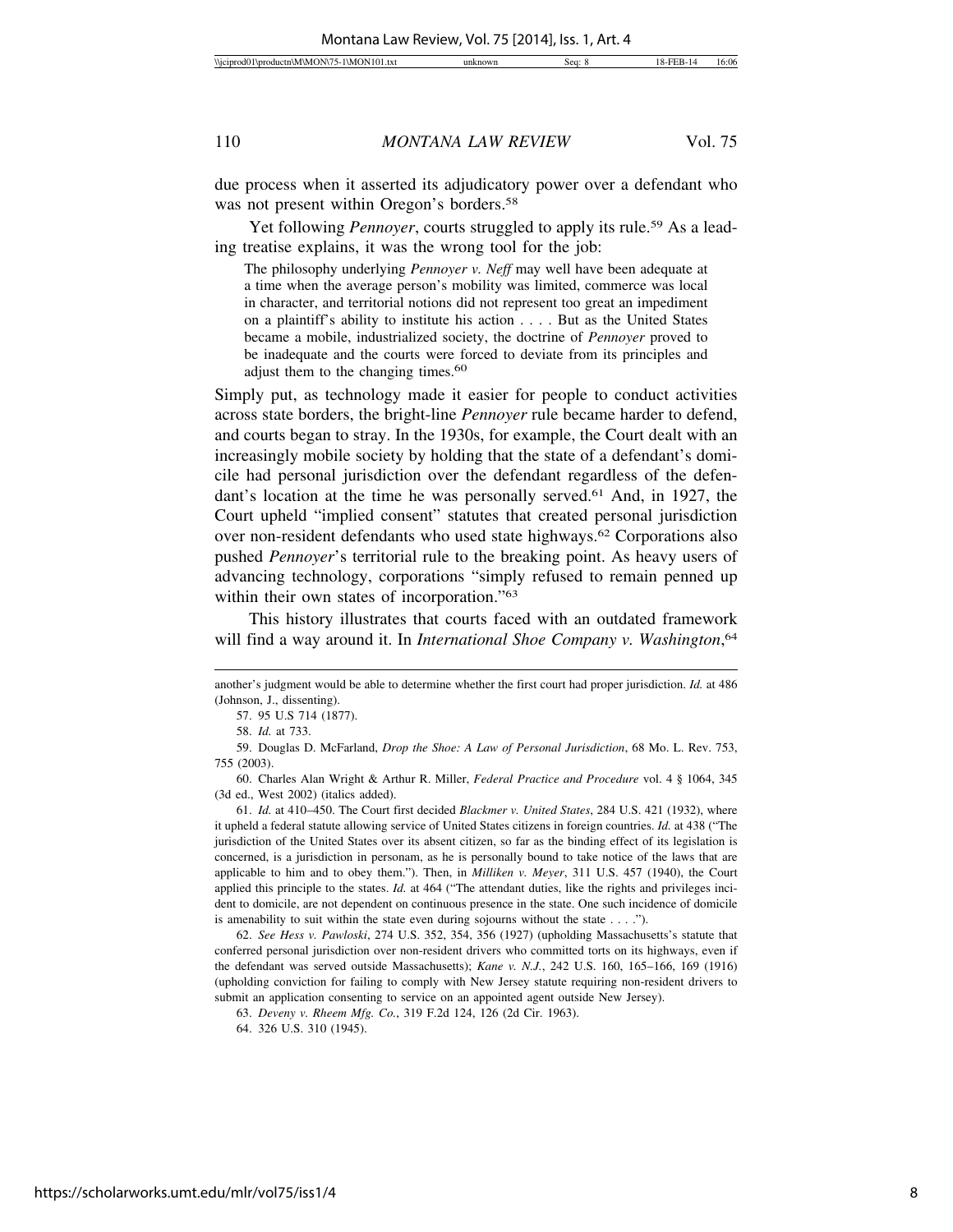due process when it asserted its adjudicatory power over a defendant who was not present within Oregon's borders.<sup>58</sup>

Yet following *Pennoyer*, courts struggled to apply its rule.<sup>59</sup> As a leading treatise explains, it was the wrong tool for the job:

The philosophy underlying *Pennoyer v. Neff* may well have been adequate at a time when the average person's mobility was limited, commerce was local in character, and territorial notions did not represent too great an impediment on a plaintiff's ability to institute his action . . . . But as the United States became a mobile, industrialized society, the doctrine of *Pennoyer* proved to be inadequate and the courts were forced to deviate from its principles and adjust them to the changing times.<sup>60</sup>

Simply put, as technology made it easier for people to conduct activities across state borders, the bright-line *Pennoyer* rule became harder to defend, and courts began to stray. In the 1930s, for example, the Court dealt with an increasingly mobile society by holding that the state of a defendant's domicile had personal jurisdiction over the defendant regardless of the defendant's location at the time he was personally served.<sup>61</sup> And, in 1927, the Court upheld "implied consent" statutes that created personal jurisdiction over non-resident defendants who used state highways.62 Corporations also pushed *Pennoyer*'s territorial rule to the breaking point. As heavy users of advancing technology, corporations "simply refused to remain penned up within their own states of incorporation."<sup>63</sup>

This history illustrates that courts faced with an outdated framework will find a way around it. In *International Shoe Company v. Washington*, 64

59. Douglas D. McFarland, *Drop the Shoe: A Law of Personal Jurisdiction*, 68 Mo. L. Rev. 753, 755 (2003).

60. Charles Alan Wright & Arthur R. Miller, *Federal Practice and Procedure* vol. 4 § 1064, 345 (3d ed., West 2002) (italics added).

61. *Id.* at 410–450. The Court first decided *Blackmer v. United States*, 284 U.S. 421 (1932), where it upheld a federal statute allowing service of United States citizens in foreign countries. *Id.* at 438 ("The jurisdiction of the United States over its absent citizen, so far as the binding effect of its legislation is concerned, is a jurisdiction in personam, as he is personally bound to take notice of the laws that are applicable to him and to obey them."). Then, in *Milliken v. Meyer*, 311 U.S. 457 (1940), the Court applied this principle to the states. *Id.* at 464 ("The attendant duties, like the rights and privileges incident to domicile, are not dependent on continuous presence in the state. One such incidence of domicile is amenability to suit within the state even during sojourns without the state . . . .").

62. *See Hess v. Pawloski*, 274 U.S. 352, 354, 356 (1927) (upholding Massachusetts's statute that conferred personal jurisdiction over non-resident drivers who committed torts on its highways, even if the defendant was served outside Massachusetts); *Kane v. N.J.*, 242 U.S. 160, 165–166, 169 (1916) (upholding conviction for failing to comply with New Jersey statute requiring non-resident drivers to submit an application consenting to service on an appointed agent outside New Jersey).

another's judgment would be able to determine whether the first court had proper jurisdiction. *Id.* at 486 (Johnson, J., dissenting).

<sup>57. 95</sup> U.S 714 (1877).

<sup>58.</sup> *Id.* at 733.

<sup>63.</sup> *Deveny v. Rheem Mfg. Co.*, 319 F.2d 124, 126 (2d Cir. 1963).

<sup>64. 326</sup> U.S. 310 (1945).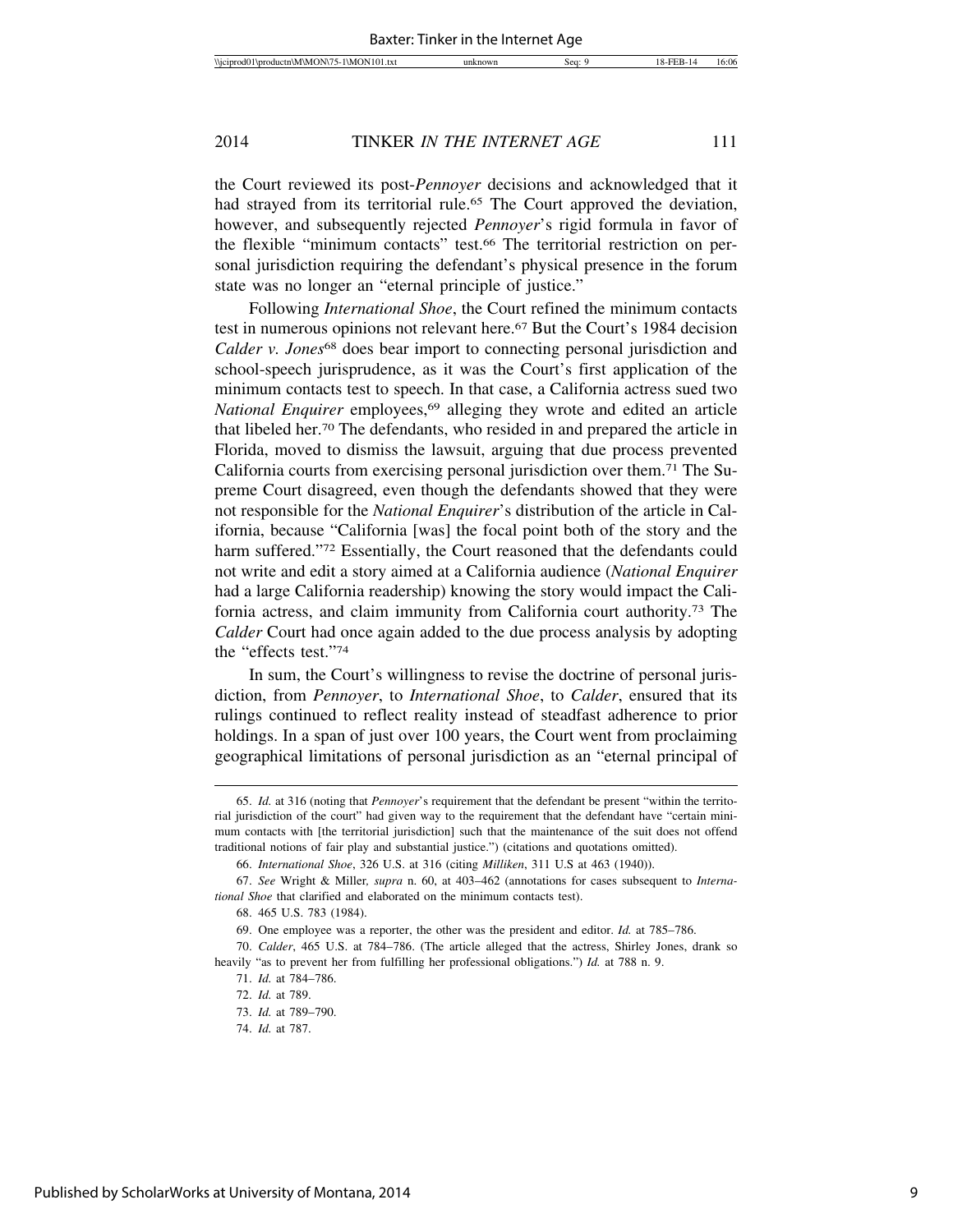the Court reviewed its post-*Pennoyer* decisions and acknowledged that it had strayed from its territorial rule.<sup>65</sup> The Court approved the deviation, however, and subsequently rejected *Pennoyer*'s rigid formula in favor of the flexible "minimum contacts" test.66 The territorial restriction on personal jurisdiction requiring the defendant's physical presence in the forum state was no longer an "eternal principle of justice."

Following *International Shoe*, the Court refined the minimum contacts test in numerous opinions not relevant here.<sup>67</sup> But the Court's 1984 decision *Calder v. Jones*<sup>68</sup> does bear import to connecting personal jurisdiction and school-speech jurisprudence, as it was the Court's first application of the minimum contacts test to speech. In that case, a California actress sued two *National Enquirer* employees,<sup>69</sup> alleging they wrote and edited an article that libeled her.70 The defendants, who resided in and prepared the article in Florida, moved to dismiss the lawsuit, arguing that due process prevented California courts from exercising personal jurisdiction over them.71 The Supreme Court disagreed, even though the defendants showed that they were not responsible for the *National Enquirer*'s distribution of the article in California, because "California [was] the focal point both of the story and the harm suffered."<sup>72</sup> Essentially, the Court reasoned that the defendants could not write and edit a story aimed at a California audience (*National Enquirer* had a large California readership) knowing the story would impact the California actress, and claim immunity from California court authority.73 The *Calder* Court had once again added to the due process analysis by adopting the "effects test."74

In sum, the Court's willingness to revise the doctrine of personal jurisdiction, from *Pennoyer*, to *International Shoe*, to *Calder*, ensured that its rulings continued to reflect reality instead of steadfast adherence to prior holdings. In a span of just over 100 years, the Court went from proclaiming geographical limitations of personal jurisdiction as an "eternal principal of

<sup>65.</sup> *Id.* at 316 (noting that *Pennoyer*'s requirement that the defendant be present "within the territorial jurisdiction of the court" had given way to the requirement that the defendant have "certain minimum contacts with [the territorial jurisdiction] such that the maintenance of the suit does not offend traditional notions of fair play and substantial justice.") (citations and quotations omitted).

<sup>66.</sup> *International Shoe*, 326 U.S. at 316 (citing *Milliken*, 311 U.S at 463 (1940)).

<sup>67.</sup> *See* Wright & Miller*, supra* n. 60, at 403–462 (annotations for cases subsequent to *International Shoe* that clarified and elaborated on the minimum contacts test).

<sup>68. 465</sup> U.S. 783 (1984).

<sup>69.</sup> One employee was a reporter, the other was the president and editor. *Id.* at 785–786.

<sup>70.</sup> *Calder*, 465 U.S. at 784–786. (The article alleged that the actress, Shirley Jones, drank so heavily "as to prevent her from fulfilling her professional obligations.") *Id.* at 788 n. 9.

<sup>71.</sup> *Id.* at 784–786.

<sup>72.</sup> *Id.* at 789.

<sup>73.</sup> *Id.* at 789–790.

<sup>74.</sup> *Id.* at 787.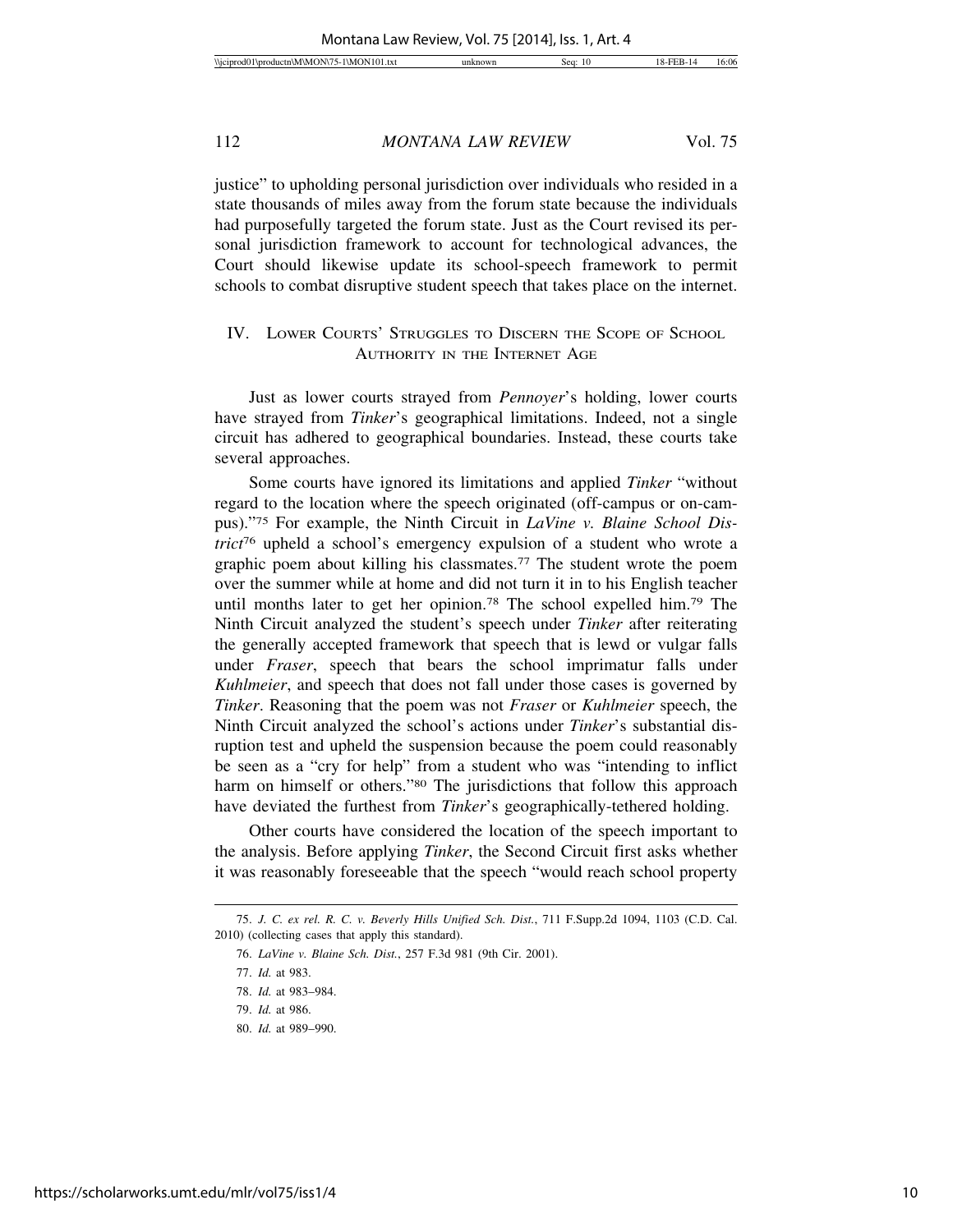justice" to upholding personal jurisdiction over individuals who resided in a state thousands of miles away from the forum state because the individuals had purposefully targeted the forum state. Just as the Court revised its personal jurisdiction framework to account for technological advances, the Court should likewise update its school-speech framework to permit schools to combat disruptive student speech that takes place on the internet.

### IV. LOWER COURTS' STRUGGLES TO DISCERN THE SCOPE OF SCHOOL AUTHORITY IN THE INTERNET AGE

Just as lower courts strayed from *Pennoyer*'s holding, lower courts have strayed from *Tinker*'s geographical limitations. Indeed, not a single circuit has adhered to geographical boundaries. Instead, these courts take several approaches.

Some courts have ignored its limitations and applied *Tinker* "without regard to the location where the speech originated (off-campus or on-campus)."75 For example, the Ninth Circuit in *LaVine v. Blaine School District*76 upheld a school's emergency expulsion of a student who wrote a graphic poem about killing his classmates.77 The student wrote the poem over the summer while at home and did not turn it in to his English teacher until months later to get her opinion.<sup>78</sup> The school expelled him.<sup>79</sup> The Ninth Circuit analyzed the student's speech under *Tinker* after reiterating the generally accepted framework that speech that is lewd or vulgar falls under *Fraser*, speech that bears the school imprimatur falls under *Kuhlmeier*, and speech that does not fall under those cases is governed by *Tinker*. Reasoning that the poem was not *Fraser* or *Kuhlmeier* speech, the Ninth Circuit analyzed the school's actions under *Tinker*'s substantial disruption test and upheld the suspension because the poem could reasonably be seen as a "cry for help" from a student who was "intending to inflict harm on himself or others."<sup>80</sup> The jurisdictions that follow this approach have deviated the furthest from *Tinker*'s geographically-tethered holding.

Other courts have considered the location of the speech important to the analysis. Before applying *Tinker*, the Second Circuit first asks whether it was reasonably foreseeable that the speech "would reach school property

<sup>75.</sup> *J. C. ex rel. R. C. v. Beverly Hills Unified Sch. Dist.*, 711 F.Supp.2d 1094, 1103 (C.D. Cal. 2010) (collecting cases that apply this standard).

<sup>76.</sup> *LaVine v. Blaine Sch. Dist.*, 257 F.3d 981 (9th Cir. 2001).

<sup>77.</sup> *Id.* at 983.

<sup>78.</sup> *Id.* at 983–984.

<sup>79.</sup> *Id.* at 986.

<sup>80.</sup> *Id.* at 989–990.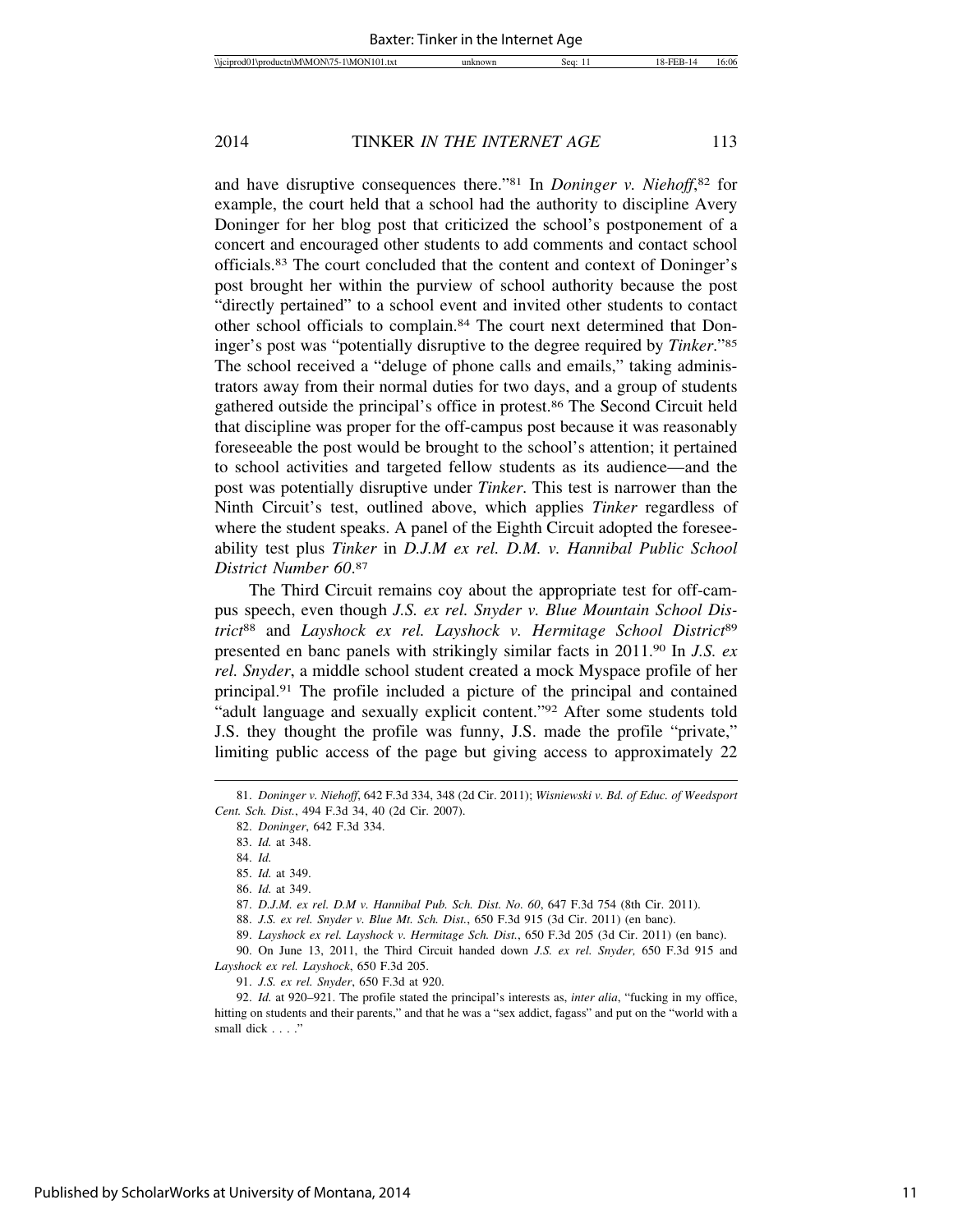and have disruptive consequences there."81 In *Doninger v. Niehoff*, 82 for example, the court held that a school had the authority to discipline Avery Doninger for her blog post that criticized the school's postponement of a concert and encouraged other students to add comments and contact school officials.83 The court concluded that the content and context of Doninger's post brought her within the purview of school authority because the post "directly pertained" to a school event and invited other students to contact other school officials to complain.84 The court next determined that Doninger's post was "potentially disruptive to the degree required by *Tinker*."85 The school received a "deluge of phone calls and emails," taking administrators away from their normal duties for two days, and a group of students gathered outside the principal's office in protest.86 The Second Circuit held that discipline was proper for the off-campus post because it was reasonably foreseeable the post would be brought to the school's attention; it pertained to school activities and targeted fellow students as its audience—and the post was potentially disruptive under *Tinker*. This test is narrower than the Ninth Circuit's test, outlined above, which applies *Tinker* regardless of where the student speaks. A panel of the Eighth Circuit adopted the foreseeability test plus *Tinker* in *D.J.M ex rel. D.M. v. Hannibal Public School District Number 60*. 87

The Third Circuit remains coy about the appropriate test for off-campus speech, even though *J.S. ex rel. Snyder v. Blue Mountain School District*88 and *Layshock ex rel. Layshock v. Hermitage School District*<sup>89</sup> presented en banc panels with strikingly similar facts in 2011.90 In *J.S. ex rel. Snyder*, a middle school student created a mock Myspace profile of her principal.91 The profile included a picture of the principal and contained "adult language and sexually explicit content."92 After some students told J.S. they thought the profile was funny, J.S. made the profile "private," limiting public access of the page but giving access to approximately 22

<sup>81.</sup> *Doninger v. Niehoff*, 642 F.3d 334, 348 (2d Cir. 2011); *Wisniewski v. Bd. of Educ. of Weedsport Cent. Sch. Dist.*, 494 F.3d 34, 40 (2d Cir. 2007).

<sup>82.</sup> *Doninger*, 642 F.3d 334.

<sup>83.</sup> *Id.* at 348.

<sup>84.</sup> *Id.*

<sup>85.</sup> *Id.* at 349.

<sup>86.</sup> *Id.* at 349.

<sup>87.</sup> *D.J.M. ex rel. D.M v. Hannibal Pub. Sch. Dist. No. 60*, 647 F.3d 754 (8th Cir. 2011).

<sup>88.</sup> *J.S. ex rel. Snyder v. Blue Mt. Sch. Dist.*, 650 F.3d 915 (3d Cir. 2011) (en banc).

<sup>89.</sup> *Layshock ex rel. Layshock v. Hermitage Sch. Dist.*, 650 F.3d 205 (3d Cir. 2011) (en banc).

<sup>90.</sup> On June 13, 2011, the Third Circuit handed down *J.S. ex rel. Snyder,* 650 F.3d 915 and *Layshock ex rel. Layshock*, 650 F.3d 205.

<sup>91.</sup> *J.S. ex rel. Snyder*, 650 F.3d at 920.

<sup>92.</sup> *Id.* at 920–921. The profile stated the principal's interests as, *inter alia*, "fucking in my office, hitting on students and their parents," and that he was a "sex addict, fagass" and put on the "world with a small dick . . . ."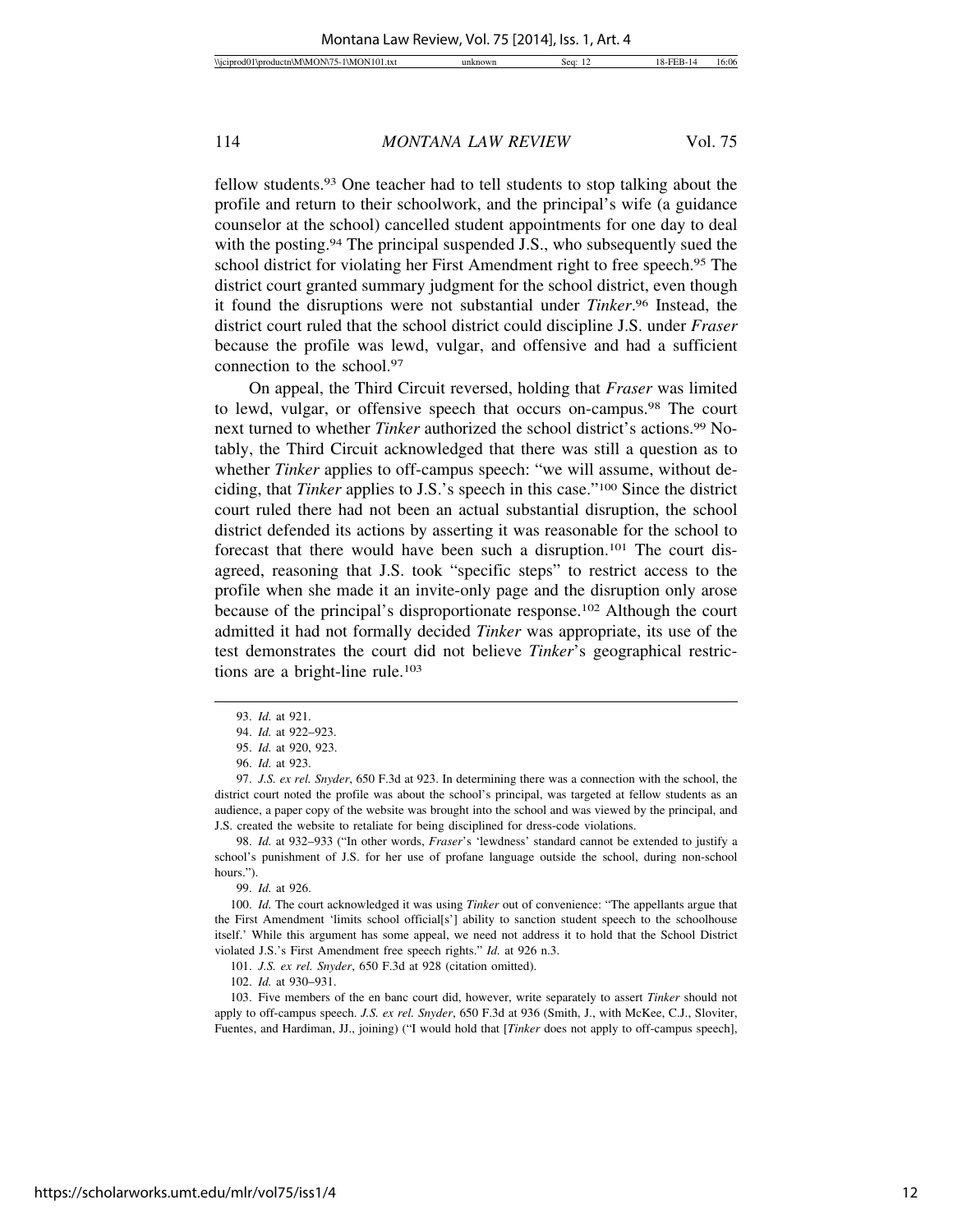fellow students.93 One teacher had to tell students to stop talking about the profile and return to their schoolwork, and the principal's wife (a guidance counselor at the school) cancelled student appointments for one day to deal with the posting.<sup>94</sup> The principal suspended J.S., who subsequently sued the school district for violating her First Amendment right to free speech.95 The district court granted summary judgment for the school district, even though it found the disruptions were not substantial under *Tinker*. 96 Instead, the district court ruled that the school district could discipline J.S. under *Fraser* because the profile was lewd, vulgar, and offensive and had a sufficient connection to the school.97

On appeal, the Third Circuit reversed, holding that *Fraser* was limited to lewd, vulgar, or offensive speech that occurs on-campus.98 The court next turned to whether *Tinker* authorized the school district's actions.99 Notably, the Third Circuit acknowledged that there was still a question as to whether *Tinker* applies to off-campus speech: "we will assume, without deciding, that *Tinker* applies to J.S.'s speech in this case."100 Since the district court ruled there had not been an actual substantial disruption, the school district defended its actions by asserting it was reasonable for the school to forecast that there would have been such a disruption.101 The court disagreed, reasoning that J.S. took "specific steps" to restrict access to the profile when she made it an invite-only page and the disruption only arose because of the principal's disproportionate response.102 Although the court admitted it had not formally decided *Tinker* was appropriate, its use of the test demonstrates the court did not believe *Tinker*'s geographical restrictions are a bright-line rule.<sup>103</sup>

99. *Id.* at 926.

<sup>93.</sup> *Id.* at 921.

<sup>94.</sup> *Id.* at 922–923.

<sup>95.</sup> *Id.* at 920, 923.

<sup>96.</sup> *Id.* at 923.

<sup>97.</sup> *J.S. ex rel. Snyder*, 650 F.3d at 923. In determining there was a connection with the school, the district court noted the profile was about the school's principal, was targeted at fellow students as an audience, a paper copy of the website was brought into the school and was viewed by the principal, and J.S. created the website to retaliate for being disciplined for dress-code violations.

<sup>98.</sup> *Id.* at 932–933 ("In other words, *Fraser*'s 'lewdness' standard cannot be extended to justify a school's punishment of J.S. for her use of profane language outside the school, during non-school hours.").

<sup>100.</sup> *Id.* The court acknowledged it was using *Tinker* out of convenience: "The appellants argue that the First Amendment 'limits school official[s'] ability to sanction student speech to the schoolhouse itself.' While this argument has some appeal, we need not address it to hold that the School District violated J.S.'s First Amendment free speech rights." *Id.* at 926 n.3.

<sup>101.</sup> *J.S. ex rel. Snyder*, 650 F.3d at 928 (citation omitted).

<sup>102.</sup> *Id.* at 930–931.

<sup>103.</sup> Five members of the en banc court did, however, write separately to assert *Tinker* should not apply to off-campus speech. *J.S. ex rel. Snyder*, 650 F.3d at 936 (Smith, J., with McKee, C.J., Sloviter, Fuentes, and Hardiman, JJ., joining) ("I would hold that [*Tinker* does not apply to off-campus speech],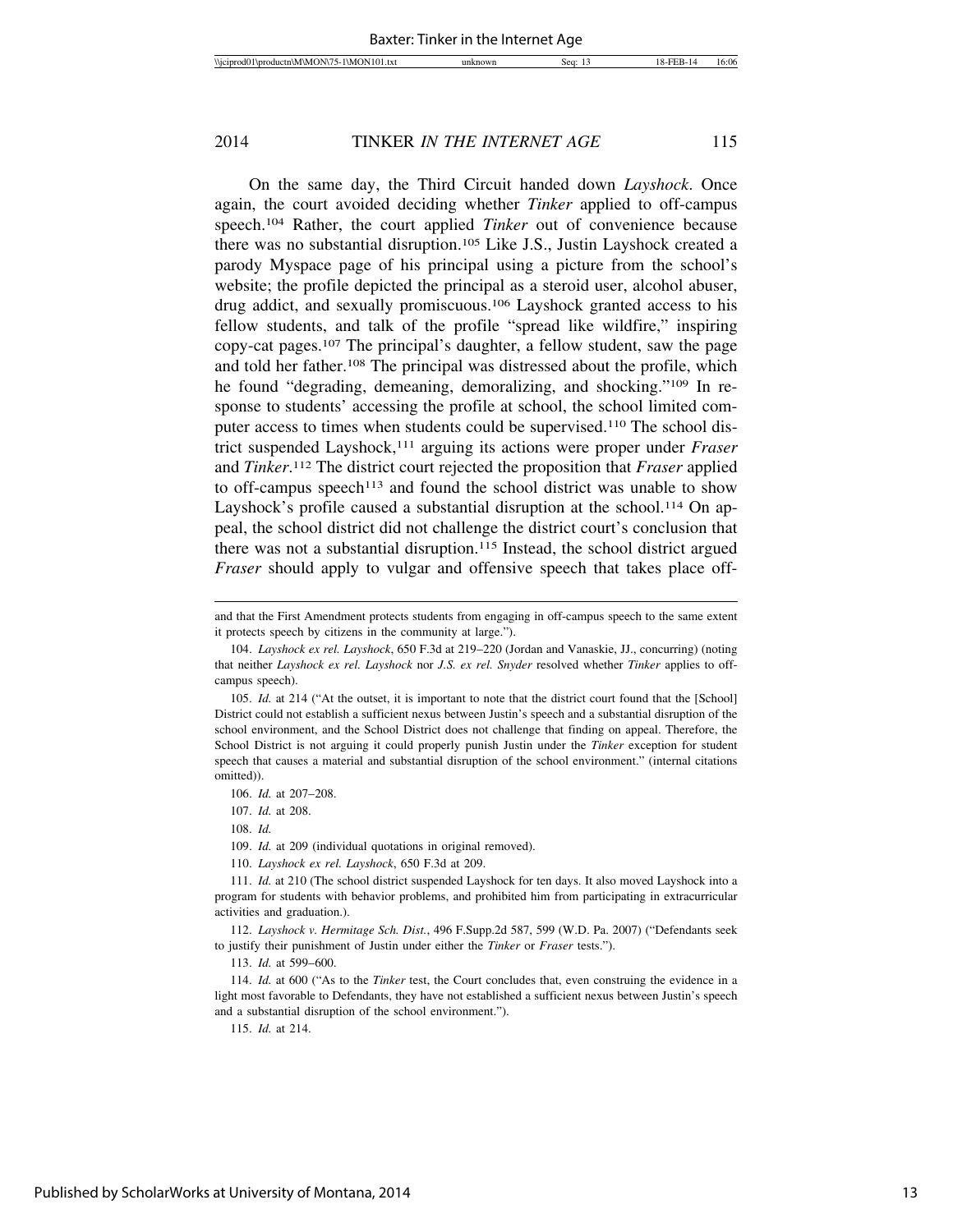On the same day, the Third Circuit handed down *Layshock*. Once again, the court avoided deciding whether *Tinker* applied to off-campus speech.104 Rather, the court applied *Tinker* out of convenience because there was no substantial disruption.105 Like J.S., Justin Layshock created a parody Myspace page of his principal using a picture from the school's website; the profile depicted the principal as a steroid user, alcohol abuser, drug addict, and sexually promiscuous.106 Layshock granted access to his fellow students, and talk of the profile "spread like wildfire," inspiring copy-cat pages.107 The principal's daughter, a fellow student, saw the page and told her father.108 The principal was distressed about the profile, which he found "degrading, demeaning, demoralizing, and shocking."109 In response to students' accessing the profile at school, the school limited computer access to times when students could be supervised.<sup>110</sup> The school district suspended Layshock,111 arguing its actions were proper under *Fraser* and *Tinker*. 112 The district court rejected the proposition that *Fraser* applied to off-campus speech<sup>113</sup> and found the school district was unable to show Layshock's profile caused a substantial disruption at the school.<sup>114</sup> On appeal, the school district did not challenge the district court's conclusion that there was not a substantial disruption.115 Instead, the school district argued *Fraser* should apply to vulgar and offensive speech that takes place off-

108. *Id.*

109. *Id.* at 209 (individual quotations in original removed).

110. *Layshock ex rel. Layshock*, 650 F.3d at 209.

112. *Layshock v. Hermitage Sch. Dist.*, 496 F.Supp.2d 587, 599 (W.D. Pa. 2007) ("Defendants seek to justify their punishment of Justin under either the *Tinker* or *Fraser* tests.").

113. *Id.* at 599–600.

114. *Id.* at 600 ("As to the *Tinker* test, the Court concludes that, even construing the evidence in a light most favorable to Defendants, they have not established a sufficient nexus between Justin's speech and a substantial disruption of the school environment.").

115. *Id.* at 214.

and that the First Amendment protects students from engaging in off-campus speech to the same extent it protects speech by citizens in the community at large.").

<sup>104.</sup> *Layshock ex rel. Layshock*, 650 F.3d at 219–220 (Jordan and Vanaskie, JJ., concurring) (noting that neither *Layshock ex rel. Layshock* nor *J.S. ex rel. Snyder* resolved whether *Tinker* applies to offcampus speech).

<sup>105.</sup> *Id.* at 214 ("At the outset, it is important to note that the district court found that the [School] District could not establish a sufficient nexus between Justin's speech and a substantial disruption of the school environment, and the School District does not challenge that finding on appeal. Therefore, the School District is not arguing it could properly punish Justin under the *Tinker* exception for student speech that causes a material and substantial disruption of the school environment." (internal citations omitted)).

<sup>106.</sup> *Id.* at 207–208.

<sup>107.</sup> *Id.* at 208.

<sup>111.</sup> *Id.* at 210 (The school district suspended Layshock for ten days. It also moved Layshock into a program for students with behavior problems, and prohibited him from participating in extracurricular activities and graduation.).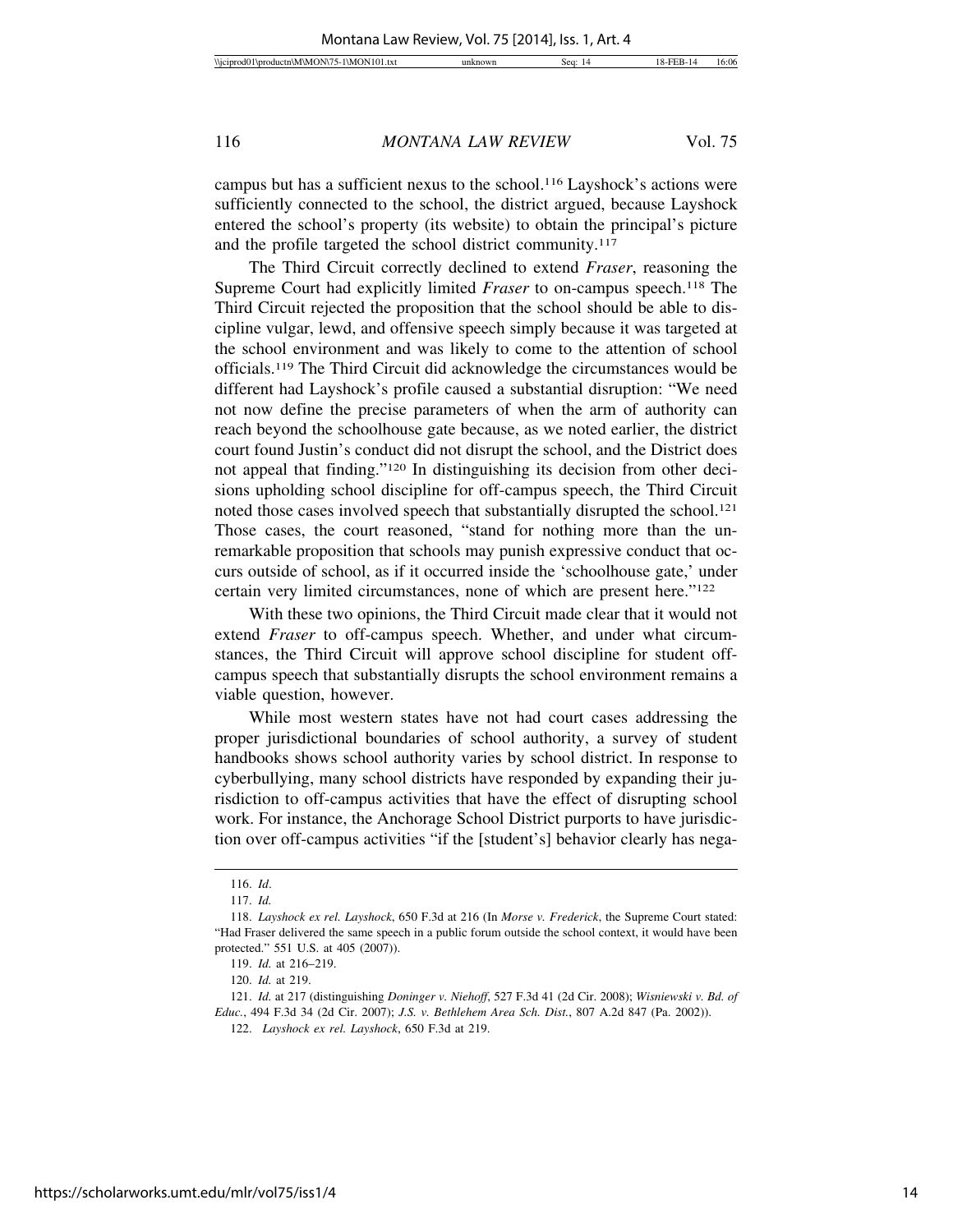campus but has a sufficient nexus to the school.116 Layshock's actions were sufficiently connected to the school, the district argued, because Layshock entered the school's property (its website) to obtain the principal's picture and the profile targeted the school district community.<sup>117</sup>

The Third Circuit correctly declined to extend *Fraser*, reasoning the Supreme Court had explicitly limited *Fraser* to on-campus speech.118 The Third Circuit rejected the proposition that the school should be able to discipline vulgar, lewd, and offensive speech simply because it was targeted at the school environment and was likely to come to the attention of school officials.119 The Third Circuit did acknowledge the circumstances would be different had Layshock's profile caused a substantial disruption: "We need not now define the precise parameters of when the arm of authority can reach beyond the schoolhouse gate because, as we noted earlier, the district court found Justin's conduct did not disrupt the school, and the District does not appeal that finding."120 In distinguishing its decision from other decisions upholding school discipline for off-campus speech, the Third Circuit noted those cases involved speech that substantially disrupted the school.<sup>121</sup> Those cases, the court reasoned, "stand for nothing more than the unremarkable proposition that schools may punish expressive conduct that occurs outside of school, as if it occurred inside the 'schoolhouse gate,' under certain very limited circumstances, none of which are present here."122

With these two opinions, the Third Circuit made clear that it would not extend *Fraser* to off-campus speech. Whether, and under what circumstances, the Third Circuit will approve school discipline for student offcampus speech that substantially disrupts the school environment remains a viable question, however.

While most western states have not had court cases addressing the proper jurisdictional boundaries of school authority, a survey of student handbooks shows school authority varies by school district. In response to cyberbullying, many school districts have responded by expanding their jurisdiction to off-campus activities that have the effect of disrupting school work. For instance, the Anchorage School District purports to have jurisdiction over off-campus activities "if the [student's] behavior clearly has nega-

<sup>116.</sup> *Id*.

<sup>117.</sup> *Id.*

<sup>118.</sup> *Layshock ex rel. Layshock*, 650 F.3d at 216 (In *Morse v. Frederick*, the Supreme Court stated: "Had Fraser delivered the same speech in a public forum outside the school context, it would have been protected." 551 U.S. at 405 (2007)).

<sup>119.</sup> *Id.* at 216–219.

<sup>120.</sup> *Id.* at 219.

<sup>121.</sup> *Id.* at 217 (distinguishing *Doninger v. Niehoff*, 527 F.3d 41 (2d Cir. 2008); *Wisniewski v. Bd. of Educ.*, 494 F.3d 34 (2d Cir. 2007); *J.S. v. Bethlehem Area Sch. Dist.*, 807 A.2d 847 (Pa. 2002)).

<sup>122.</sup> *Layshock ex rel. Layshock*, 650 F.3d at 219.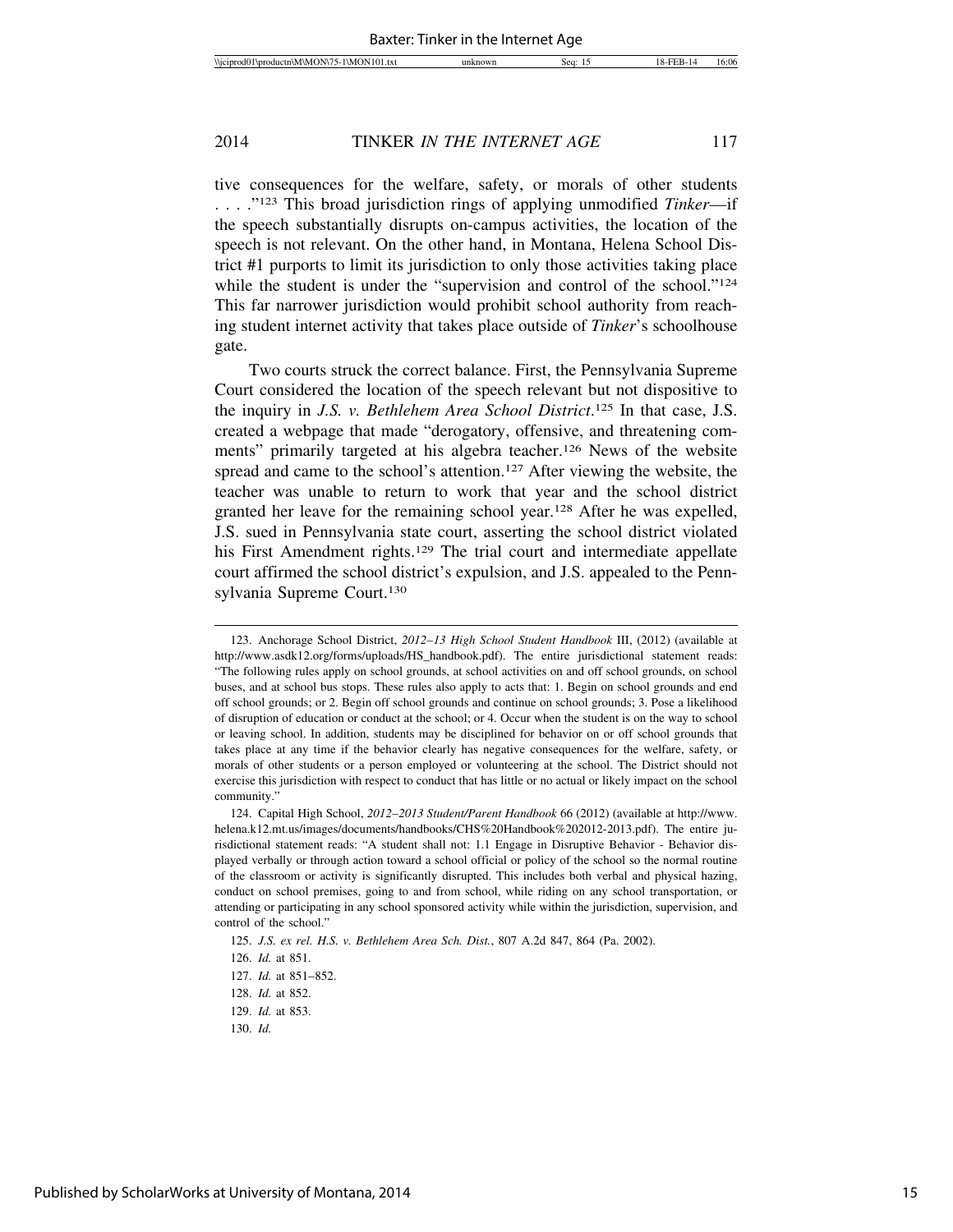tive consequences for the welfare, safety, or morals of other students . . . ."123 This broad jurisdiction rings of applying unmodified *Tinker*—if the speech substantially disrupts on-campus activities, the location of the speech is not relevant. On the other hand, in Montana, Helena School District #1 purports to limit its jurisdiction to only those activities taking place while the student is under the "supervision and control of the school."<sup>124</sup> This far narrower jurisdiction would prohibit school authority from reaching student internet activity that takes place outside of *Tinker*'s schoolhouse gate.

Two courts struck the correct balance. First, the Pennsylvania Supreme Court considered the location of the speech relevant but not dispositive to the inquiry in *J.S. v. Bethlehem Area School District*. 125 In that case, J.S. created a webpage that made "derogatory, offensive, and threatening comments" primarily targeted at his algebra teacher.<sup>126</sup> News of the website spread and came to the school's attention.<sup>127</sup> After viewing the website, the teacher was unable to return to work that year and the school district granted her leave for the remaining school year.128 After he was expelled, J.S. sued in Pennsylvania state court, asserting the school district violated his First Amendment rights.<sup>129</sup> The trial court and intermediate appellate court affirmed the school district's expulsion, and J.S. appealed to the Pennsylvania Supreme Court.130

125. *J.S. ex rel. H.S. v. Bethlehem Area Sch. Dist.*, 807 A.2d 847, 864 (Pa. 2002).

<sup>123.</sup> Anchorage School District, *2012–13 High School Student Handbook* III, (2012) (available at http://www.asdk12.org/forms/uploads/HS\_handbook.pdf). The entire jurisdictional statement reads: "The following rules apply on school grounds, at school activities on and off school grounds, on school buses, and at school bus stops. These rules also apply to acts that: 1. Begin on school grounds and end off school grounds; or 2. Begin off school grounds and continue on school grounds; 3. Pose a likelihood of disruption of education or conduct at the school; or 4. Occur when the student is on the way to school or leaving school. In addition, students may be disciplined for behavior on or off school grounds that takes place at any time if the behavior clearly has negative consequences for the welfare, safety, or morals of other students or a person employed or volunteering at the school. The District should not exercise this jurisdiction with respect to conduct that has little or no actual or likely impact on the school community.'

<sup>124.</sup> Capital High School, *2012–2013 Student/Parent Handbook* 66 (2012) (available at http://www. helena.k12.mt.us/images/documents/handbooks/CHS%20Handbook%202012-2013.pdf). The entire jurisdictional statement reads: "A student shall not: 1.1 Engage in Disruptive Behavior - Behavior displayed verbally or through action toward a school official or policy of the school so the normal routine of the classroom or activity is significantly disrupted. This includes both verbal and physical hazing, conduct on school premises, going to and from school, while riding on any school transportation, or attending or participating in any school sponsored activity while within the jurisdiction, supervision, and control of the school."

<sup>126.</sup> *Id.* at 851.

<sup>127.</sup> *Id.* at 851–852.

<sup>128.</sup> *Id.* at 852.

<sup>129.</sup> *Id.* at 853.

<sup>130.</sup> *Id.*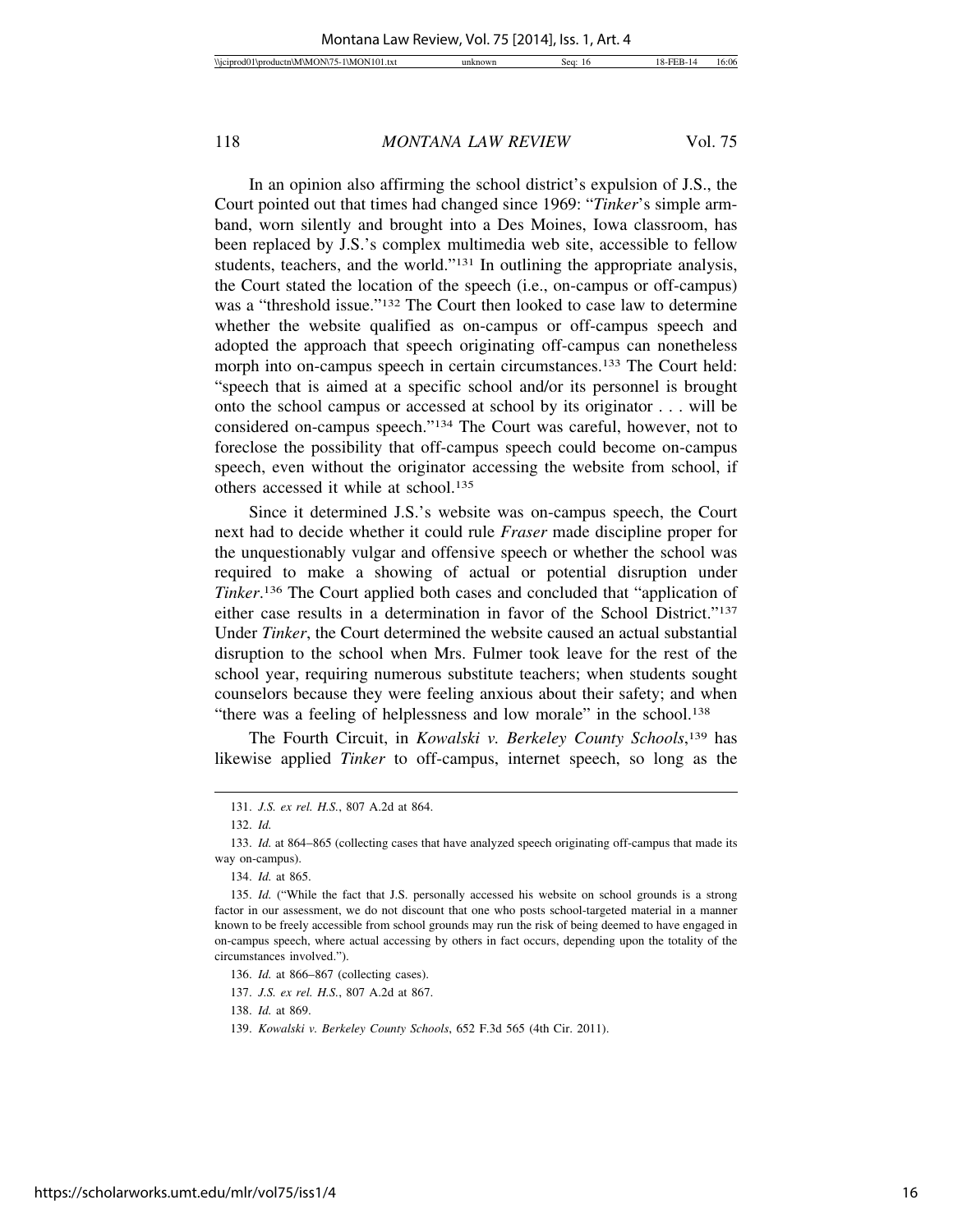In an opinion also affirming the school district's expulsion of J.S., the Court pointed out that times had changed since 1969: "*Tinker*'s simple armband, worn silently and brought into a Des Moines, Iowa classroom, has been replaced by J.S.'s complex multimedia web site, accessible to fellow students, teachers, and the world."131 In outlining the appropriate analysis, the Court stated the location of the speech (i.e., on-campus or off-campus) was a "threshold issue."132 The Court then looked to case law to determine whether the website qualified as on-campus or off-campus speech and adopted the approach that speech originating off-campus can nonetheless morph into on-campus speech in certain circumstances.<sup>133</sup> The Court held: "speech that is aimed at a specific school and/or its personnel is brought onto the school campus or accessed at school by its originator . . . will be considered on-campus speech."134 The Court was careful, however, not to foreclose the possibility that off-campus speech could become on-campus speech, even without the originator accessing the website from school, if others accessed it while at school.<sup>135</sup>

Since it determined J.S.'s website was on-campus speech, the Court next had to decide whether it could rule *Fraser* made discipline proper for the unquestionably vulgar and offensive speech or whether the school was required to make a showing of actual or potential disruption under *Tinker*. 136 The Court applied both cases and concluded that "application of either case results in a determination in favor of the School District."137 Under *Tinker*, the Court determined the website caused an actual substantial disruption to the school when Mrs. Fulmer took leave for the rest of the school year, requiring numerous substitute teachers; when students sought counselors because they were feeling anxious about their safety; and when "there was a feeling of helplessness and low morale" in the school.138

The Fourth Circuit, in *Kowalski v. Berkeley County Schools*, 139 has likewise applied *Tinker* to off-campus, internet speech, so long as the

136. *Id.* at 866–867 (collecting cases).

138. *Id.* at 869.

<sup>131.</sup> *J.S. ex rel. H.S.*, 807 A.2d at 864.

<sup>132.</sup> *Id.*

<sup>133.</sup> *Id.* at 864–865 (collecting cases that have analyzed speech originating off-campus that made its way on-campus).

<sup>134.</sup> *Id.* at 865.

<sup>135.</sup> *Id.* ("While the fact that J.S. personally accessed his website on school grounds is a strong factor in our assessment, we do not discount that one who posts school-targeted material in a manner known to be freely accessible from school grounds may run the risk of being deemed to have engaged in on-campus speech, where actual accessing by others in fact occurs, depending upon the totality of the circumstances involved.").

<sup>137.</sup> *J.S. ex rel. H.S.*, 807 A.2d at 867.

<sup>139.</sup> *Kowalski v. Berkeley County Schools*, 652 F.3d 565 (4th Cir. 2011).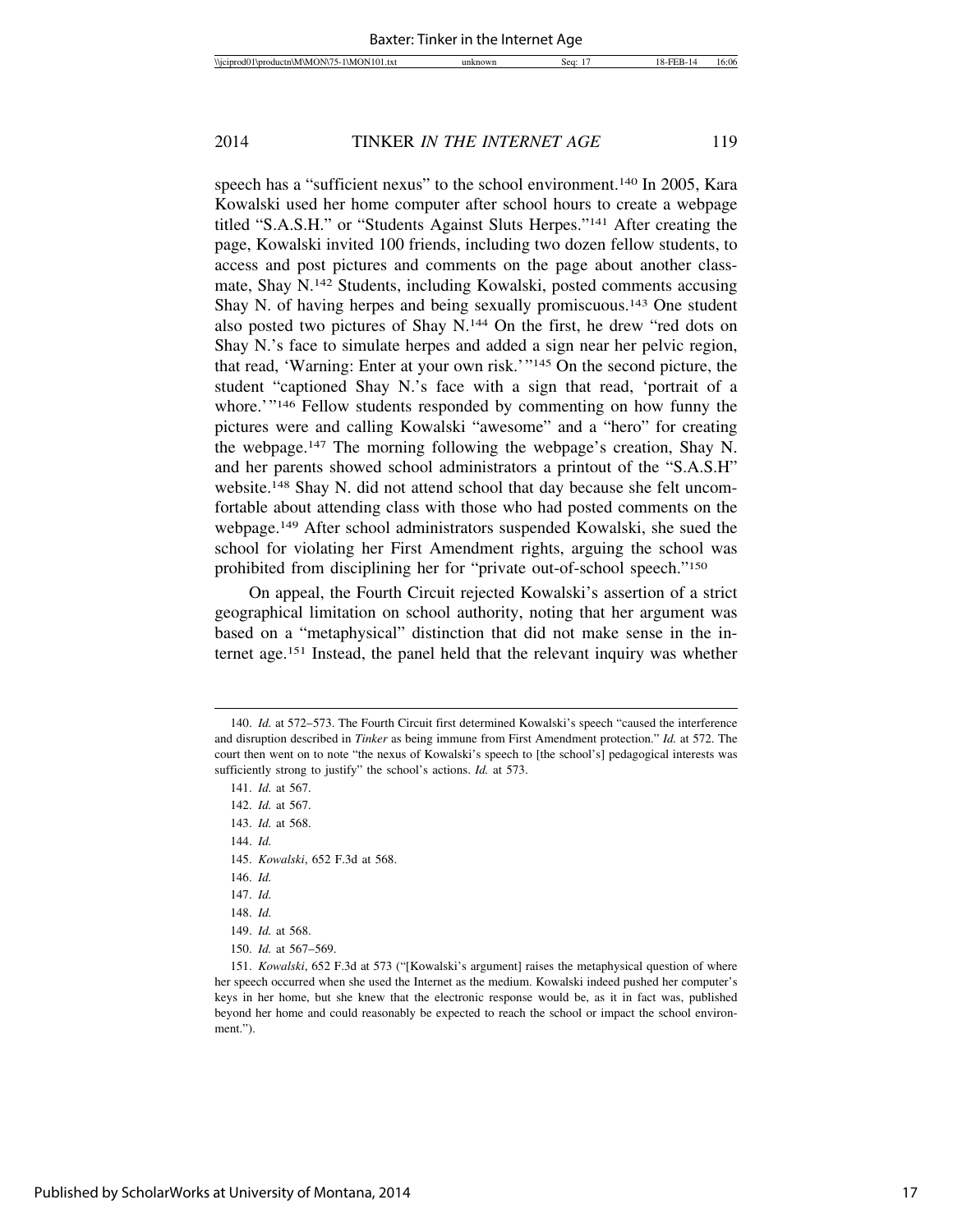speech has a "sufficient nexus" to the school environment.<sup>140</sup> In 2005, Kara Kowalski used her home computer after school hours to create a webpage titled "S.A.S.H." or "Students Against Sluts Herpes."141 After creating the page, Kowalski invited 100 friends, including two dozen fellow students, to access and post pictures and comments on the page about another classmate, Shay N.142 Students, including Kowalski, posted comments accusing Shay N. of having herpes and being sexually promiscuous.143 One student also posted two pictures of Shay N.144 On the first, he drew "red dots on Shay N.'s face to simulate herpes and added a sign near her pelvic region, that read, 'Warning: Enter at your own risk.'"145 On the second picture, the student "captioned Shay N.'s face with a sign that read, 'portrait of a whore.'"<sup>146</sup> Fellow students responded by commenting on how funny the pictures were and calling Kowalski "awesome" and a "hero" for creating the webpage.147 The morning following the webpage's creation, Shay N. and her parents showed school administrators a printout of the "S.A.S.H" website.148 Shay N. did not attend school that day because she felt uncomfortable about attending class with those who had posted comments on the webpage.149 After school administrators suspended Kowalski, she sued the school for violating her First Amendment rights, arguing the school was prohibited from disciplining her for "private out-of-school speech."150

On appeal, the Fourth Circuit rejected Kowalski's assertion of a strict geographical limitation on school authority, noting that her argument was based on a "metaphysical" distinction that did not make sense in the internet age.151 Instead, the panel held that the relevant inquiry was whether

145. *Kowalski*, 652 F.3d at 568.

147. *Id.*

<sup>140.</sup> *Id.* at 572–573. The Fourth Circuit first determined Kowalski's speech "caused the interference and disruption described in *Tinker* as being immune from First Amendment protection." *Id.* at 572. The court then went on to note "the nexus of Kowalski's speech to [the school's] pedagogical interests was sufficiently strong to justify" the school's actions. *Id.* at 573.

<sup>141.</sup> *Id.* at 567.

<sup>142.</sup> *Id.* at 567.

<sup>143.</sup> *Id.* at 568.

<sup>144.</sup> *Id.*

<sup>146.</sup> *Id.*

<sup>148.</sup> *Id.*

<sup>149.</sup> *Id.* at 568.

<sup>150.</sup> *Id.* at 567–569.

<sup>151.</sup> *Kowalski*, 652 F.3d at 573 ("[Kowalski's argument] raises the metaphysical question of where her speech occurred when she used the Internet as the medium. Kowalski indeed pushed her computer's keys in her home, but she knew that the electronic response would be, as it in fact was, published beyond her home and could reasonably be expected to reach the school or impact the school environment.").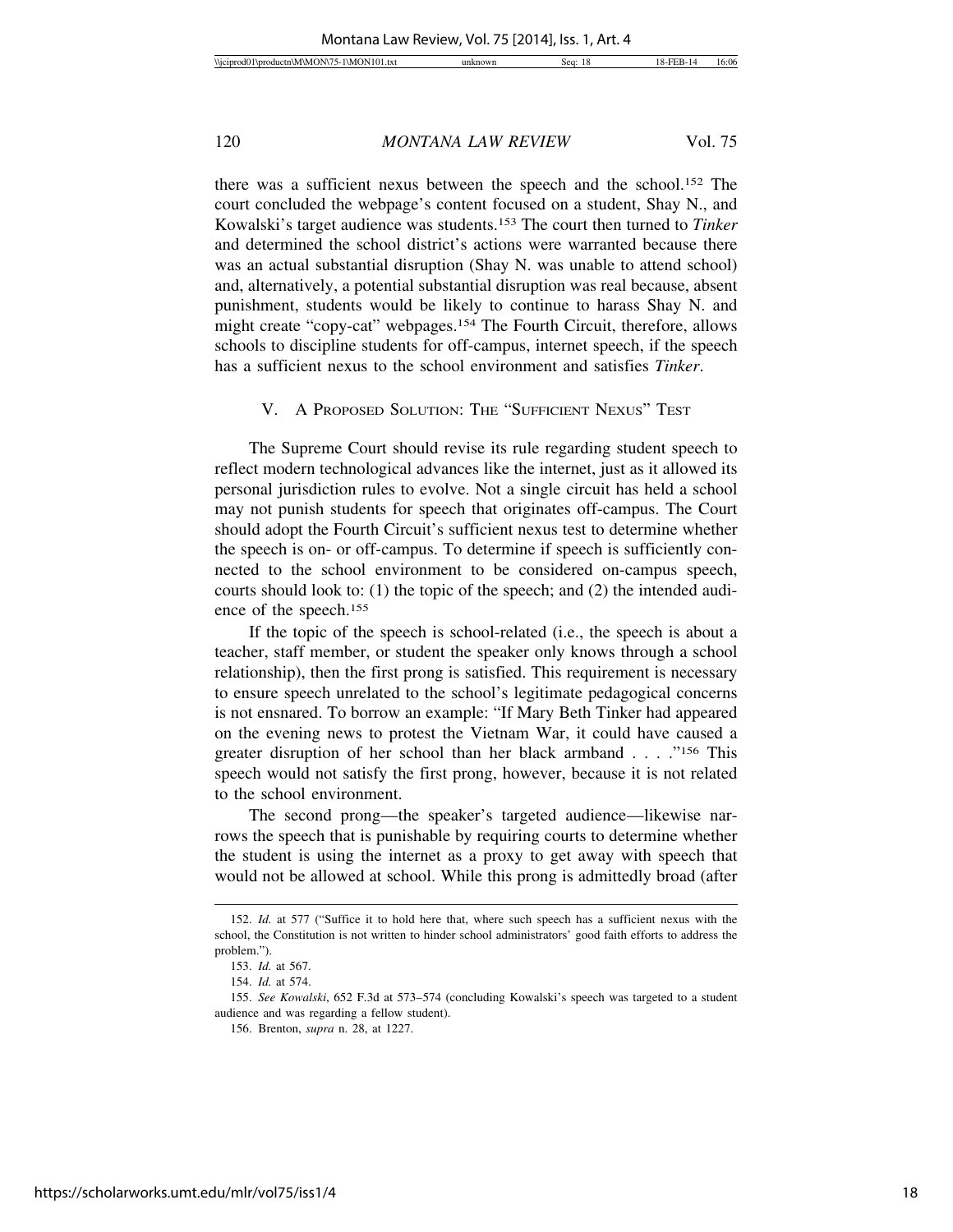there was a sufficient nexus between the speech and the school.152 The court concluded the webpage's content focused on a student, Shay N., and Kowalski's target audience was students.153 The court then turned to *Tinker* and determined the school district's actions were warranted because there was an actual substantial disruption (Shay N. was unable to attend school) and, alternatively, a potential substantial disruption was real because, absent punishment, students would be likely to continue to harass Shay N. and might create "copy-cat" webpages.154 The Fourth Circuit, therefore, allows schools to discipline students for off-campus, internet speech, if the speech has a sufficient nexus to the school environment and satisfies *Tinker*.

V. A PROPOSED SOLUTION: THE "SUFFICIENT NEXUS" TEST

The Supreme Court should revise its rule regarding student speech to reflect modern technological advances like the internet, just as it allowed its personal jurisdiction rules to evolve. Not a single circuit has held a school may not punish students for speech that originates off-campus. The Court should adopt the Fourth Circuit's sufficient nexus test to determine whether the speech is on- or off-campus. To determine if speech is sufficiently connected to the school environment to be considered on-campus speech, courts should look to: (1) the topic of the speech; and (2) the intended audience of the speech.155

If the topic of the speech is school-related (i.e., the speech is about a teacher, staff member, or student the speaker only knows through a school relationship), then the first prong is satisfied. This requirement is necessary to ensure speech unrelated to the school's legitimate pedagogical concerns is not ensnared. To borrow an example: "If Mary Beth Tinker had appeared on the evening news to protest the Vietnam War, it could have caused a greater disruption of her school than her black armband . . . ."156 This speech would not satisfy the first prong, however, because it is not related to the school environment.

The second prong—the speaker's targeted audience—likewise narrows the speech that is punishable by requiring courts to determine whether the student is using the internet as a proxy to get away with speech that would not be allowed at school. While this prong is admittedly broad (after

<sup>152.</sup> *Id.* at 577 ("Suffice it to hold here that, where such speech has a sufficient nexus with the school, the Constitution is not written to hinder school administrators' good faith efforts to address the problem.").

<sup>153.</sup> *Id.* at 567.

<sup>154.</sup> *Id.* at 574.

<sup>155.</sup> *See Kowalski*, 652 F.3d at 573–574 (concluding Kowalski's speech was targeted to a student audience and was regarding a fellow student).

<sup>156.</sup> Brenton, *supra* n. 28, at 1227.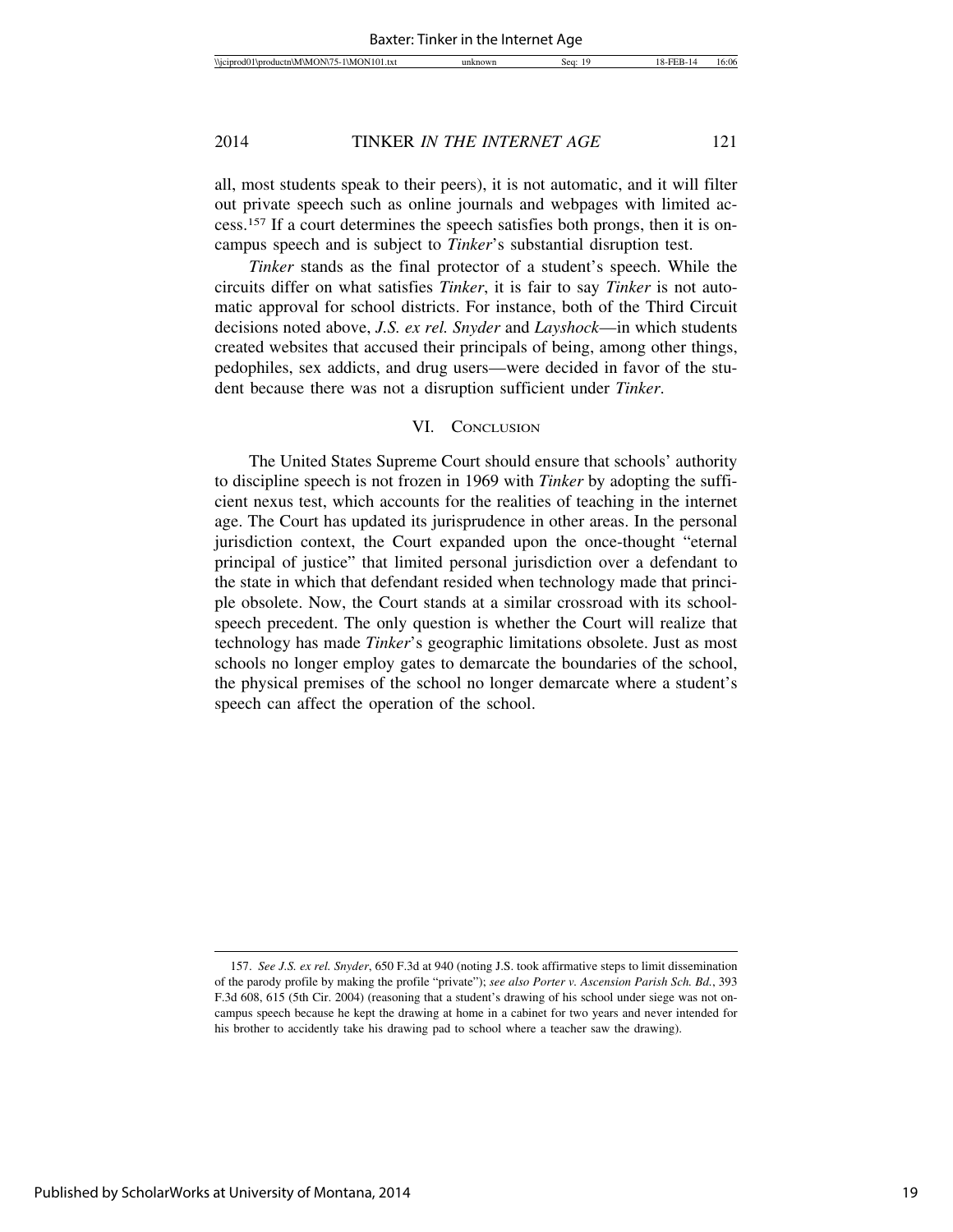all, most students speak to their peers), it is not automatic, and it will filter out private speech such as online journals and webpages with limited access.157 If a court determines the speech satisfies both prongs, then it is oncampus speech and is subject to *Tinker*'s substantial disruption test.

*Tinker* stands as the final protector of a student's speech. While the circuits differ on what satisfies *Tinker*, it is fair to say *Tinker* is not automatic approval for school districts. For instance, both of the Third Circuit decisions noted above, *J.S. ex rel. Snyder* and *Layshock*—in which students created websites that accused their principals of being, among other things, pedophiles, sex addicts, and drug users—were decided in favor of the student because there was not a disruption sufficient under *Tinker*.

#### VI. CONCLUSION

The United States Supreme Court should ensure that schools' authority to discipline speech is not frozen in 1969 with *Tinker* by adopting the sufficient nexus test, which accounts for the realities of teaching in the internet age. The Court has updated its jurisprudence in other areas. In the personal jurisdiction context, the Court expanded upon the once-thought "eternal principal of justice" that limited personal jurisdiction over a defendant to the state in which that defendant resided when technology made that principle obsolete. Now, the Court stands at a similar crossroad with its schoolspeech precedent. The only question is whether the Court will realize that technology has made *Tinker*'s geographic limitations obsolete. Just as most schools no longer employ gates to demarcate the boundaries of the school, the physical premises of the school no longer demarcate where a student's speech can affect the operation of the school.

<sup>157.</sup> *See J.S. ex rel. Snyder*, 650 F.3d at 940 (noting J.S. took affirmative steps to limit dissemination of the parody profile by making the profile "private"); *see also Porter v. Ascension Parish Sch. Bd.*, 393 F.3d 608, 615 (5th Cir. 2004) (reasoning that a student's drawing of his school under siege was not oncampus speech because he kept the drawing at home in a cabinet for two years and never intended for his brother to accidently take his drawing pad to school where a teacher saw the drawing).